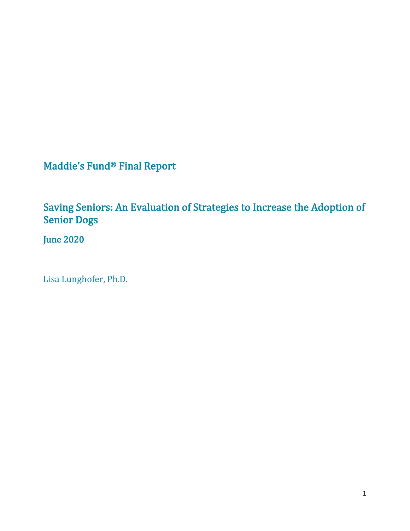Maddie's Fund® Final Report

Saving Seniors: An Evaluation of Strategies to Increase the Adoption of Senior Dogs

June 2020

Lisa Lunghofer, Ph.D.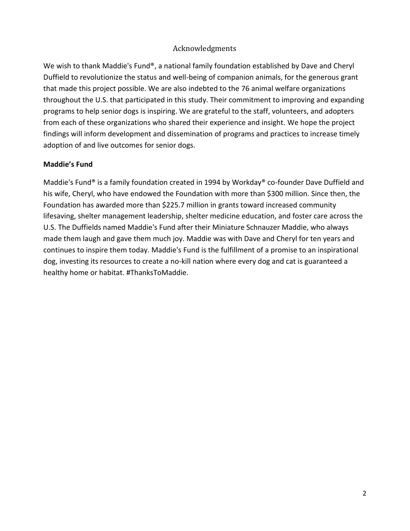### Acknowledgments

We wish to thank Maddie's Fund®, a national family foundation established by Dave and Cheryl Duffield to revolutionize the status and well-being of companion animals, for the generous grant that made this project possible. We are also indebted to the 76 animal welfare organizations throughout the U.S. that participated in this study. Their commitment to improving and expanding programs to help senior dogs is inspiring. We are grateful to the staff, volunteers, and adopters from each of these organizations who shared their experience and insight. We hope the project findings will inform development and dissemination of programs and practices to increase timely adoption of and live outcomes for senior dogs.

### **Maddie's Fund**

Maddie's Fund® is a family foundation created in 1994 by Workday® co-founder Dave Duffield and his wife, Cheryl, who have endowed the Foundation with more than \$300 million. Since then, the Foundation has awarded more than \$225.7 million in grants toward increased community lifesaving, shelter management leadership, shelter medicine education, and foster care across the U.S. The Duffields named Maddie's Fund after their Miniature Schnauzer Maddie, who always made them laugh and gave them much joy. Maddie was with Dave and Cheryl for ten years and continues to inspire them today. Maddie's Fund is the fulfillment of a promise to an inspirational dog, investing its resources to create a no-kill nation where every dog and cat is guaranteed a healthy home or habitat. #ThanksToMaddie.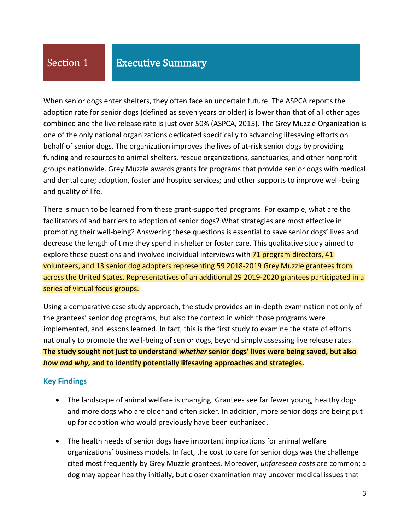When senior dogs enter shelters, they often face an uncertain future. The ASPCA reports the adoption rate for senior dogs (defined as seven years or older) is lower than that of all other ages combined and the live release rate is just over 50% (ASPCA, 2015). The Grey Muzzle Organization is one of the only national organizations dedicated specifically to advancing lifesaving efforts on behalf of senior dogs. The organization improves the lives of at-risk senior dogs by providing funding and resources to animal shelters, rescue organizations, sanctuaries, and other nonprofit groups nationwide. Grey Muzzle awards grants for programs that provide senior dogs with medical and dental care; adoption, foster and hospice services; and other supports to improve well-being and quality of life.

There is much to be learned from these grant-supported programs. For example, what are the facilitators of and barriers to adoption of senior dogs? What strategies are most effective in promoting their well-being? Answering these questions is essential to save senior dogs' lives and decrease the length of time they spend in shelter or foster care. This qualitative study aimed to explore these questions and involved individual interviews with 71 program directors, 41 volunteers, and 13 senior dog adopters representing 59 2018-2019 Grey Muzzle grantees from across the United States. Representatives of an additional 29 2019-2020 grantees participated in a series of virtual focus groups.

Using a comparative case study approach, the study provides an in-depth examination not only of the grantees' senior dog programs, but also the context in which those programs were implemented, and lessons learned. In fact, this is the first study to examine the state of efforts nationally to promote the well-being of senior dogs, beyond simply assessing live release rates. **The study sought not just to understand** *whether* **senior dogs' lives were being saved, but also**  *how and why,* **and to identify potentially lifesaving approaches and strategies.** 

### **Key Findings**

- The landscape of animal welfare is changing. Grantees see far fewer young, healthy dogs and more dogs who are older and often sicker. In addition, more senior dogs are being put up for adoption who would previously have been euthanized.
- The health needs of senior dogs have important implications for animal welfare organizations' business models. In fact, the cost to care for senior dogs was the challenge cited most frequently by Grey Muzzle grantees. Moreover, *unforeseen costs* are common; a dog may appear healthy initially, but closer examination may uncover medical issues that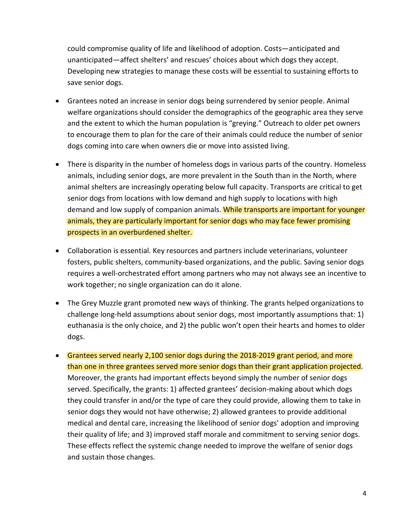could compromise quality of life and likelihood of adoption. Costs—anticipated and unanticipated—affect shelters' and rescues' choices about which dogs they accept. Developing new strategies to manage these costs will be essential to sustaining efforts to save senior dogs.

- Grantees noted an increase in senior dogs being surrendered by senior people. Animal welfare organizations should consider the demographics of the geographic area they serve and the extent to which the human population is "greying." Outreach to older pet owners to encourage them to plan for the care of their animals could reduce the number of senior dogs coming into care when owners die or move into assisted living.
- There is disparity in the number of homeless dogs in various parts of the country. Homeless animals, including senior dogs, are more prevalent in the South than in the North, where animal shelters are increasingly operating below full capacity. Transports are critical to get senior dogs from locations with low demand and high supply to locations with high demand and low supply of companion animals. While transports are important for younger animals, they are particularly important for senior dogs who may face fewer promising prospects in an overburdened shelter.
- Collaboration is essential. Key resources and partners include veterinarians, volunteer fosters, public shelters, community-based organizations, and the public. Saving senior dogs requires a well-orchestrated effort among partners who may not always see an incentive to work together; no single organization can do it alone.
- The Grey Muzzle grant promoted new ways of thinking. The grants helped organizations to challenge long-held assumptions about senior dogs, most importantly assumptions that: 1) euthanasia is the only choice, and 2) the public won't open their hearts and homes to older dogs.
- Grantees served nearly 2,100 senior dogs during the 2018-2019 grant period, and more than one in three grantees served more senior dogs than their grant application projected. Moreover, the grants had important effects beyond simply the number of senior dogs served. Specifically, the grants: 1) affected grantees' decision-making about which dogs they could transfer in and/or the type of care they could provide, allowing them to take in senior dogs they would not have otherwise; 2) allowed grantees to provide additional medical and dental care, increasing the likelihood of senior dogs' adoption and improving their quality of life; and 3) improved staff morale and commitment to serving senior dogs. These effects reflect the systemic change needed to improve the welfare of senior dogs and sustain those changes.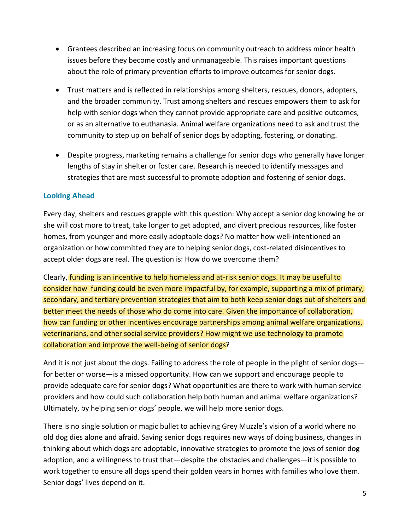- Grantees described an increasing focus on community outreach to address minor health issues before they become costly and unmanageable. This raises important questions about the role of primary prevention efforts to improve outcomes for senior dogs.
- Trust matters and is reflected in relationships among shelters, rescues, donors, adopters, and the broader community. Trust among shelters and rescues empowers them to ask for help with senior dogs when they cannot provide appropriate care and positive outcomes, or as an alternative to euthanasia. Animal welfare organizations need to ask and trust the community to step up on behalf of senior dogs by adopting, fostering, or donating.
- Despite progress, marketing remains a challenge for senior dogs who generally have longer lengths of stay in shelter or foster care. Research is needed to identify messages and strategies that are most successful to promote adoption and fostering of senior dogs.

### **Looking Ahead**

Every day, shelters and rescues grapple with this question: Why accept a senior dog knowing he or she will cost more to treat, take longer to get adopted, and divert precious resources, like foster homes, from younger and more easily adoptable dogs? No matter how well-intentioned an organization or how committed they are to helping senior dogs, cost-related disincentives to accept older dogs are real. The question is: How do we overcome them?

Clearly, funding is an incentive to help homeless and at-risk senior dogs. It may be useful to consider how funding could be even more impactful by, for example, supporting a mix of primary, secondary, and tertiary prevention strategies that aim to both keep senior dogs out of shelters and better meet the needs of those who do come into care. Given the importance of collaboration, how can funding or other incentives encourage partnerships among animal welfare organizations, veterinarians, and other social service providers? How might we use technology to promote collaboration and improve the well-being of senior dogs?

And it is not just about the dogs. Failing to address the role of people in the plight of senior dogs for better or worse—is a missed opportunity. How can we support and encourage people to provide adequate care for senior dogs? What opportunities are there to work with human service providers and how could such collaboration help both human and animal welfare organizations? Ultimately, by helping senior dogs' people, we will help more senior dogs.

There is no single solution or magic bullet to achieving Grey Muzzle's vision of a world where no old dog dies alone and afraid. Saving senior dogs requires new ways of doing business, changes in thinking about which dogs are adoptable, innovative strategies to promote the joys of senior dog adoption, and a willingness to trust that—despite the obstacles and challenges—it is possible to work together to ensure all dogs spend their golden years in homes with families who love them. Senior dogs' lives depend on it.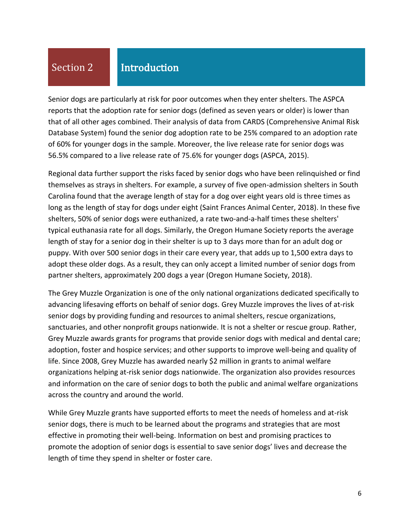# Section 2

## Introduction

Senior dogs are particularly at risk for poor outcomes when they enter shelters. The ASPCA reports that the adoption rate for senior dogs (defined as seven years or older) is lower than that of all other ages combined. Their analysis of data from CARDS (Comprehensive Animal Risk Database System) found the senior dog adoption rate to be 25% compared to an adoption rate of 60% for younger dogs in the sample. Moreover, the live release rate for senior dogs was 56.5% compared to a live release rate of 75.6% for younger dogs (ASPCA, 2015).

Regional data further support the risks faced by senior dogs who have been relinquished or find themselves as strays in shelters. For example, a survey of five open-admission shelters in South Carolina found that the average length of stay for a dog over eight years old is three times as long as the length of stay for dogs under eight (Saint Frances Animal Center, 2018). In these five shelters, 50% of senior dogs were euthanized, a rate two-and-a-half times these shelters' typical euthanasia rate for all dogs. Similarly, the Oregon Humane Society reports the average length of stay for a senior dog in their shelter is up to 3 days more than for an adult dog or puppy. With over 500 senior dogs in their care every year, that adds up to 1,500 extra days to adopt these older dogs. As a result, they can only accept a limited number of senior dogs from partner shelters, approximately 200 dogs a year (Oregon Humane Society, 2018).

The Grey Muzzle Organization is one of the only national organizations dedicated specifically to advancing lifesaving efforts on behalf of senior dogs. Grey Muzzle improves the lives of at-risk senior dogs by providing funding and resources to animal shelters, rescue organizations, sanctuaries, and other nonprofit groups nationwide. It is not a shelter or rescue group. Rather, Grey Muzzle awards grants for programs that provide senior dogs with medical and dental care; adoption, foster and hospice services; and other supports to improve well-being and quality of life. Since 2008, Grey Muzzle has awarded nearly \$2 million in grants to animal welfare organizations helping at-risk senior dogs nationwide. The organization also provides resources and information on the care of senior dogs to both the public and animal welfare organizations across the country and around the world.

While Grey Muzzle grants have supported efforts to meet the needs of homeless and at-risk senior dogs, there is much to be learned about the programs and strategies that are most effective in promoting their well-being. Information on best and promising practices to promote the adoption of senior dogs is essential to save senior dogs' lives and decrease the length of time they spend in shelter or foster care.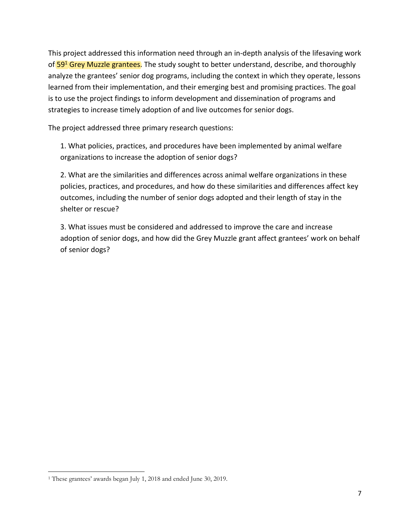This project addressed this information need through an in-depth analysis of the lifesaving work of 59<sup>1</sup> Grey Muzzle grantees. The study sought to better understand, describe, and thoroughly analyze the grantees' senior dog programs, including the context in which they operate, lessons learned from their implementation, and their emerging best and promising practices. The goal is to use the project findings to inform development and dissemination of programs and strategies to increase timely adoption of and live outcomes for senior dogs.

The project addressed three primary research questions:

1. What policies, practices, and procedures have been implemented by animal welfare organizations to increase the adoption of senior dogs?

2. What are the similarities and differences across animal welfare organizations in these policies, practices, and procedures, and how do these similarities and differences affect key outcomes, including the number of senior dogs adopted and their length of stay in the shelter or rescue?

3. What issues must be considered and addressed to improve the care and increase adoption of senior dogs, and how did the Grey Muzzle grant affect grantees' work on behalf of senior dogs?

<sup>1</sup> These grantees' awards began July 1, 2018 and ended June 30, 2019.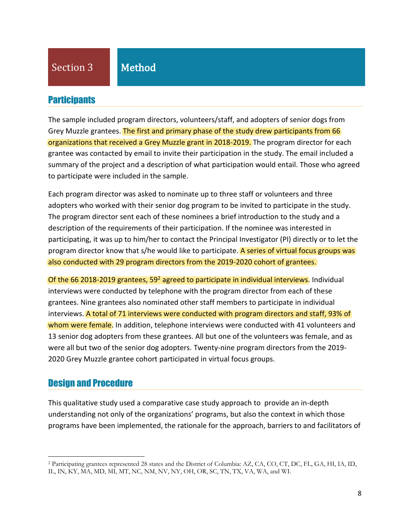## **Participants**

The sample included program directors, volunteers/staff, and adopters of senior dogs from Grey Muzzle grantees. The first and primary phase of the study drew participants from 66 organizations that received a Grey Muzzle grant in 2018-2019. The program director for each grantee was contacted by email to invite their participation in the study. The email included a summary of the project and a description of what participation would entail. Those who agreed to participate were included in the sample.

Each program director was asked to nominate up to three staff or volunteers and three adopters who worked with their senior dog program to be invited to participate in the study. The program director sent each of these nominees a brief introduction to the study and a description of the requirements of their participation. If the nominee was interested in participating, it was up to him/her to contact the Principal Investigator (PI) directly or to let the program director know that s/he would like to participate. A series of virtual focus groups was also conducted with 29 program directors from the 2019-2020 cohort of grantees.

Of the 66 2018-2019 grantees, 59<sup>2</sup> agreed to participate in individual interviews. Individual interviews were conducted by telephone with the program director from each of these grantees. Nine grantees also nominated other staff members to participate in individual interviews. A total of 71 interviews were conducted with program directors and staff, 93% of whom were female. In addition, telephone interviews were conducted with 41 volunteers and 13 senior dog adopters from these grantees. All but one of the volunteers was female, and as were all but two of the senior dog adopters. Twenty-nine program directors from the 2019- 2020 Grey Muzzle grantee cohort participated in virtual focus groups.

## Design and Procedure

This qualitative study used a comparative case study approach to provide an in-depth understanding not only of the organizations' programs, but also the context in which those programs have been implemented, the rationale for the approach, barriers to and facilitators of

<sup>2</sup> Participating grantees represented 28 states and the District of Columbia: AZ, CA, CO, CT, DC, FL, GA, HI, IA, ID, IL, IN, KY, MA, MD, MI, MT, NC, NM, NV, NY, OH, OR, SC, TN, TX, VA, WA, and WI.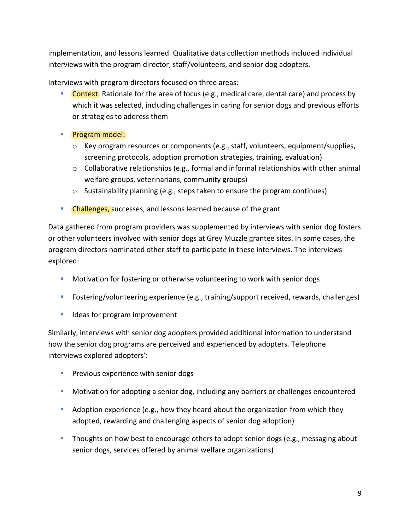implementation, and lessons learned. Qualitative data collection methods included individual interviews with the program director, staff/volunteers, and senior dog adopters.

Interviews with program directors focused on three areas:

- **Context:** Rationale for the area of focus (e.g., medical care, dental care) and process by which it was selected, including challenges in caring for senior dogs and previous efforts or strategies to address them
- Program model:
	- $\circ$  Key program resources or components (e.g., staff, volunteers, equipment/supplies, screening protocols, adoption promotion strategies, training, evaluation)
	- $\circ$  Collaborative relationships (e.g., formal and informal relationships with other animal welfare groups, veterinarians, community groups)
	- $\circ$  Sustainability planning (e.g., steps taken to ensure the program continues)
- **EXP** Challenges, successes, and lessons learned because of the grant

Data gathered from program providers was supplemented by interviews with senior dog fosters or other volunteers involved with senior dogs at Grey Muzzle grantee sites. In some cases, the program directors nominated other staff to participate in these interviews. The interviews explored:

- **■** Motivation for fostering or otherwise volunteering to work with senior dogs
- Fostering/volunteering experience (e.g., training/support received, rewards, challenges)
- Ideas for program improvement

Similarly, interviews with senior dog adopters provided additional information to understand how the senior dog programs are perceived and experienced by adopters. Telephone interviews explored adopters':

- **•** Previous experience with senior dogs
- Motivation for adopting a senior dog, including any barriers or challenges encountered
- Adoption experience (e.g., how they heard about the organization from which they adopted, rewarding and challenging aspects of senior dog adoption)
- **■** Thoughts on how best to encourage others to adopt senior dogs (e.g., messaging about senior dogs, services offered by animal welfare organizations)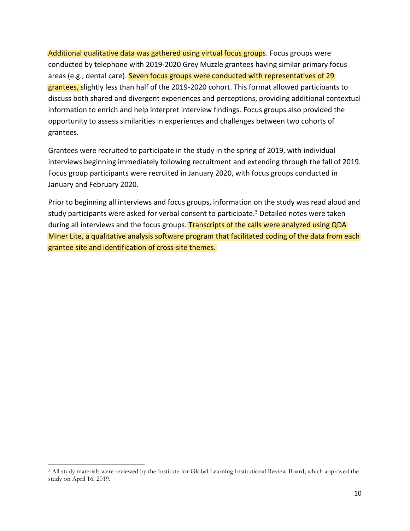Additional qualitative data was gathered using virtual focus groups. Focus groups were conducted by telephone with 2019-2020 Grey Muzzle grantees having similar primary focus areas (e.g., dental care). Seven focus groups were conducted with representatives of 29 grantees, slightly less than half of the 2019-2020 cohort. This format allowed participants to discuss both shared and divergent experiences and perceptions, providing additional contextual information to enrich and help interpret interview findings. Focus groups also provided the opportunity to assess similarities in experiences and challenges between two cohorts of grantees.

Grantees were recruited to participate in the study in the spring of 2019, with individual interviews beginning immediately following recruitment and extending through the fall of 2019. Focus group participants were recruited in January 2020, with focus groups conducted in January and February 2020.

Prior to beginning all interviews and focus groups, information on the study was read aloud and study participants were asked for verbal consent to participate.<sup>3</sup> Detailed notes were taken during all interviews and the focus groups. Transcripts of the calls were analyzed using QDA Miner Lite, a qualitative analysis software program that facilitated coding of the data from each grantee site and identification of cross-site themes.

<sup>3</sup> All study materials were reviewed by the Institute for Global Learning Institutional Review Board, which approved the study on April 16, 2019.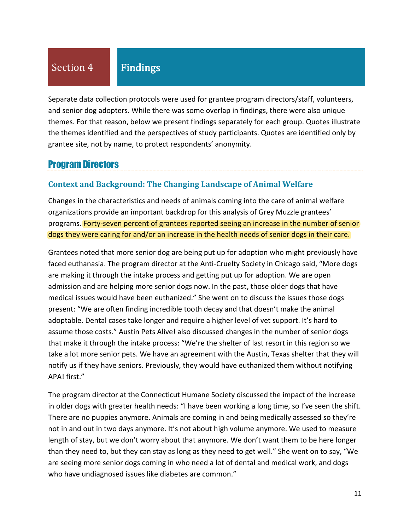# Section 4

# Findings

Separate data collection protocols were used for grantee program directors/staff, volunteers, and senior dog adopters. While there was some overlap in findings, there were also unique themes. For that reason, below we present findings separately for each group. Quotes illustrate the themes identified and the perspectives of study participants. Quotes are identified only by grantee site, not by name, to protect respondents' anonymity.

## Program Directors

### **Context and Background: The Changing Landscape of Animal Welfare**

Changes in the characteristics and needs of animals coming into the care of animal welfare organizations provide an important backdrop for this analysis of Grey Muzzle grantees' programs. Forty-seven percent of grantees reported seeing an increase in the number of senior dogs they were caring for and/or an increase in the health needs of senior dogs in their care.

Grantees noted that more senior dog are being put up for adoption who might previously have faced euthanasia. The program director at the Anti-Cruelty Society in Chicago said, "More dogs are making it through the intake process and getting put up for adoption. We are open admission and are helping more senior dogs now. In the past, those older dogs that have medical issues would have been euthanized." She went on to discuss the issues those dogs present: "We are often finding incredible tooth decay and that doesn't make the animal adoptable. Dental cases take longer and require a higher level of vet support. It's hard to assume those costs." Austin Pets Alive! also discussed changes in the number of senior dogs that make it through the intake process: "We're the shelter of last resort in this region so we take a lot more senior pets. We have an agreement with the Austin, Texas shelter that they will notify us if they have seniors. Previously, they would have euthanized them without notifying APA! first."

The program director at the Connecticut Humane Society discussed the impact of the increase in older dogs with greater health needs: "I have been working a long time, so I've seen the shift. There are no puppies anymore. Animals are coming in and being medically assessed so they're not in and out in two days anymore. It's not about high volume anymore. We used to measure length of stay, but we don't worry about that anymore. We don't want them to be here longer than they need to, but they can stay as long as they need to get well." She went on to say, "We are seeing more senior dogs coming in who need a lot of dental and medical work, and dogs who have undiagnosed issues like diabetes are common."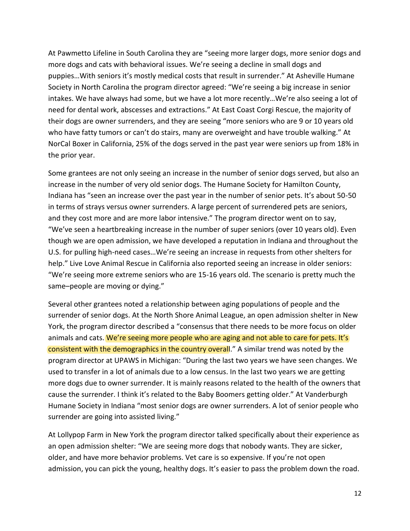At Pawmetto Lifeline in South Carolina they are "seeing more larger dogs, more senior dogs and more dogs and cats with behavioral issues. We're seeing a decline in small dogs and puppies…With seniors it's mostly medical costs that result in surrender." At Asheville Humane Society in North Carolina the program director agreed: "We're seeing a big increase in senior intakes. We have always had some, but we have a lot more recently…We're also seeing a lot of need for dental work, abscesses and extractions." At East Coast Corgi Rescue, the majority of their dogs are owner surrenders, and they are seeing "more seniors who are 9 or 10 years old who have fatty tumors or can't do stairs, many are overweight and have trouble walking." At NorCal Boxer in California, 25% of the dogs served in the past year were seniors up from 18% in the prior year.

Some grantees are not only seeing an increase in the number of senior dogs served, but also an increase in the number of very old senior dogs. The Humane Society for Hamilton County, Indiana has "seen an increase over the past year in the number of senior pets. It's about 50-50 in terms of strays versus owner surrenders. A large percent of surrendered pets are seniors, and they cost more and are more labor intensive." The program director went on to say, "We've seen a heartbreaking increase in the number of super seniors (over 10 years old). Even though we are open admission, we have developed a reputation in Indiana and throughout the U.S. for pulling high-need cases…We're seeing an increase in requests from other shelters for help." Live Love Animal Rescue in California also reported seeing an increase in older seniors: "We're seeing more extreme seniors who are 15-16 years old. The scenario is pretty much the same–people are moving or dying."

Several other grantees noted a relationship between aging populations of people and the surrender of senior dogs. At the North Shore Animal League, an open admission shelter in New York, the program director described a "consensus that there needs to be more focus on older animals and cats. We're seeing more people who are aging and not able to care for pets. It's consistent with the demographics in the country overall." A similar trend was noted by the program director at UPAWS in Michigan: "During the last two years we have seen changes. We used to transfer in a lot of animals due to a low census. In the last two years we are getting more dogs due to owner surrender. It is mainly reasons related to the health of the owners that cause the surrender. I think it's related to the Baby Boomers getting older." At Vanderburgh Humane Society in Indiana "most senior dogs are owner surrenders. A lot of senior people who surrender are going into assisted living."

At Lollypop Farm in New York the program director talked specifically about their experience as an open admission shelter: "We are seeing more dogs that nobody wants. They are sicker, older, and have more behavior problems. Vet care is so expensive. If you're not open admission, you can pick the young, healthy dogs. It's easier to pass the problem down the road.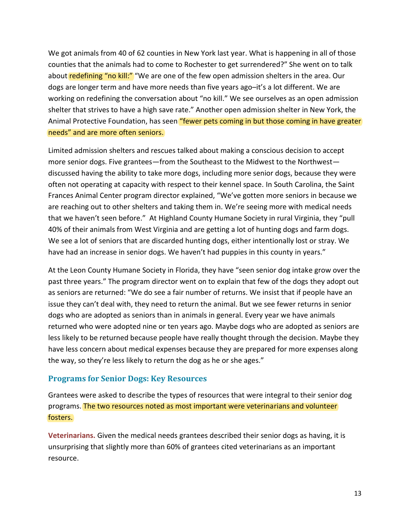We got animals from 40 of 62 counties in New York last year. What is happening in all of those counties that the animals had to come to Rochester to get surrendered?" She went on to talk about redefining "no kill:" "We are one of the few open admission shelters in the area. Our dogs are longer term and have more needs than five years ago–it's a lot different. We are working on redefining the conversation about "no kill." We see ourselves as an open admission shelter that strives to have a high save rate." Another open admission shelter in New York, the Animal Protective Foundation, has seen "fewer pets coming in but those coming in have greater needs" and are more often seniors.

Limited admission shelters and rescues talked about making a conscious decision to accept more senior dogs. Five grantees—from the Southeast to the Midwest to the Northwest discussed having the ability to take more dogs, including more senior dogs, because they were often not operating at capacity with respect to their kennel space. In South Carolina, the Saint Frances Animal Center program director explained, "We've gotten more seniors in because we are reaching out to other shelters and taking them in. We're seeing more with medical needs that we haven't seen before." At Highland County Humane Society in rural Virginia, they "pull 40% of their animals from West Virginia and are getting a lot of hunting dogs and farm dogs. We see a lot of seniors that are discarded hunting dogs, either intentionally lost or stray. We have had an increase in senior dogs. We haven't had puppies in this county in years."

At the Leon County Humane Society in Florida, they have "seen senior dog intake grow over the past three years." The program director went on to explain that few of the dogs they adopt out as seniors are returned: "We do see a fair number of returns. We insist that if people have an issue they can't deal with, they need to return the animal. But we see fewer returns in senior dogs who are adopted as seniors than in animals in general. Every year we have animals returned who were adopted nine or ten years ago. Maybe dogs who are adopted as seniors are less likely to be returned because people have really thought through the decision. Maybe they have less concern about medical expenses because they are prepared for more expenses along the way, so they're less likely to return the dog as he or she ages."

### **Programs for Senior Dogs: Key Resources**

Grantees were asked to describe the types of resources that were integral to their senior dog programs. The two resources noted as most important were veterinarians and volunteer fosters.

**Veterinarians.** Given the medical needs grantees described their senior dogs as having, it is unsurprising that slightly more than 60% of grantees cited veterinarians as an important resource.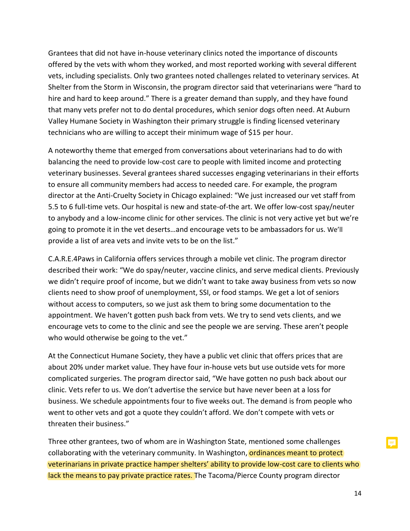Grantees that did not have in-house veterinary clinics noted the importance of discounts offered by the vets with whom they worked, and most reported working with several different vets, including specialists. Only two grantees noted challenges related to veterinary services. At Shelter from the Storm in Wisconsin, the program director said that veterinarians were "hard to hire and hard to keep around." There is a greater demand than supply, and they have found that many vets prefer not to do dental procedures, which senior dogs often need. At Auburn Valley Humane Society in Washington their primary struggle is finding licensed veterinary technicians who are willing to accept their minimum wage of \$15 per hour.

A noteworthy theme that emerged from conversations about veterinarians had to do with balancing the need to provide low-cost care to people with limited income and protecting veterinary businesses. Several grantees shared successes engaging veterinarians in their efforts to ensure all community members had access to needed care. For example, the program director at the Anti-Cruelty Society in Chicago explained: "We just increased our vet staff from 5.5 to 6 full-time vets. Our hospital is new and state-of-the art. We offer low-cost spay/neuter to anybody and a low-income clinic for other services. The clinic is not very active yet but we're going to promote it in the vet deserts…and encourage vets to be ambassadors for us. We'll provide a list of area vets and invite vets to be on the list."

C.A.R.E.4Paws in California offers services through a mobile vet clinic. The program director described their work: "We do spay/neuter, vaccine clinics, and serve medical clients. Previously we didn't require proof of income, but we didn't want to take away business from vets so now clients need to show proof of unemployment, SSI, or food stamps. We get a lot of seniors without access to computers, so we just ask them to bring some documentation to the appointment. We haven't gotten push back from vets. We try to send vets clients, and we encourage vets to come to the clinic and see the people we are serving. These aren't people who would otherwise be going to the vet."

At the Connecticut Humane Society, they have a public vet clinic that offers prices that are about 20% under market value. They have four in-house vets but use outside vets for more complicated surgeries. The program director said, "We have gotten no push back about our clinic. Vets refer to us. We don't advertise the service but have never been at a loss for business. We schedule appointments four to five weeks out. The demand is from people who went to other vets and got a quote they couldn't afford. We don't compete with vets or threaten their business."

Three other grantees, two of whom are in Washington State, mentioned some challenges collaborating with the veterinary community. In Washington, ordinances meant to protect veterinarians in private practice hamper shelters' ability to provide low-cost care to clients who lack the means to pay private practice rates. The Tacoma/Pierce County program director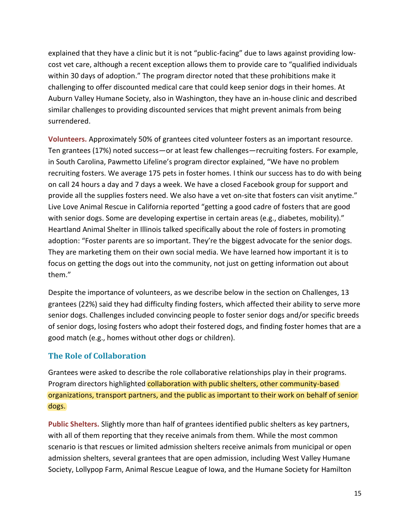explained that they have a clinic but it is not "public-facing" due to laws against providing lowcost vet care, although a recent exception allows them to provide care to "qualified individuals within 30 days of adoption." The program director noted that these prohibitions make it challenging to offer discounted medical care that could keep senior dogs in their homes. At Auburn Valley Humane Society, also in Washington, they have an in-house clinic and described similar challenges to providing discounted services that might prevent animals from being surrendered.

**Volunteers.** Approximately 50% of grantees cited volunteer fosters as an important resource. Ten grantees (17%) noted success—or at least few challenges—recruiting fosters. For example, in South Carolina, Pawmetto Lifeline's program director explained, "We have no problem recruiting fosters. We average 175 pets in foster homes. I think our success has to do with being on call 24 hours a day and 7 days a week. We have a closed Facebook group for support and provide all the supplies fosters need. We also have a vet on-site that fosters can visit anytime." Live Love Animal Rescue in California reported "getting a good cadre of fosters that are good with senior dogs. Some are developing expertise in certain areas (e.g., diabetes, mobility)." Heartland Animal Shelter in Illinois talked specifically about the role of fosters in promoting adoption: "Foster parents are so important. They're the biggest advocate for the senior dogs. They are marketing them on their own social media. We have learned how important it is to focus on getting the dogs out into the community, not just on getting information out about them."

Despite the importance of volunteers, as we describe below in the section on Challenges, 13 grantees (22%) said they had difficulty finding fosters, which affected their ability to serve more senior dogs. Challenges included convincing people to foster senior dogs and/or specific breeds of senior dogs, losing fosters who adopt their fostered dogs, and finding foster homes that are a good match (e.g., homes without other dogs or children).

## **The Role of Collaboration**

Grantees were asked to describe the role collaborative relationships play in their programs. Program directors highlighted collaboration with public shelters, other community-based organizations, transport partners, and the public as important to their work on behalf of senior dogs.

**Public Shelters.** Slightly more than half of grantees identified public shelters as key partners, with all of them reporting that they receive animals from them. While the most common scenario is that rescues or limited admission shelters receive animals from municipal or open admission shelters, several grantees that are open admission, including West Valley Humane Society, Lollypop Farm, Animal Rescue League of Iowa, and the Humane Society for Hamilton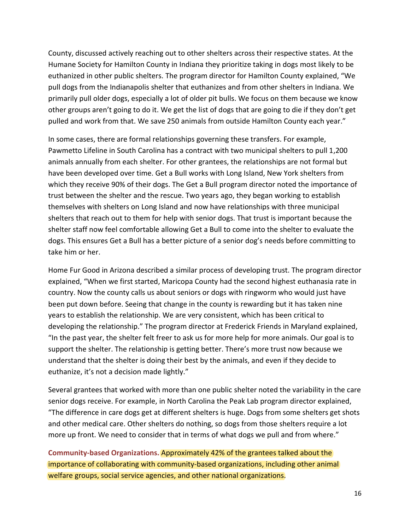County, discussed actively reaching out to other shelters across their respective states. At the Humane Society for Hamilton County in Indiana they prioritize taking in dogs most likely to be euthanized in other public shelters. The program director for Hamilton County explained, "We pull dogs from the Indianapolis shelter that euthanizes and from other shelters in Indiana. We primarily pull older dogs, especially a lot of older pit bulls. We focus on them because we know other groups aren't going to do it. We get the list of dogs that are going to die if they don't get pulled and work from that. We save 250 animals from outside Hamilton County each year."

In some cases, there are formal relationships governing these transfers. For example, Pawmetto Lifeline in South Carolina has a contract with two municipal shelters to pull 1,200 animals annually from each shelter. For other grantees, the relationships are not formal but have been developed over time. Get a Bull works with Long Island, New York shelters from which they receive 90% of their dogs. The Get a Bull program director noted the importance of trust between the shelter and the rescue. Two years ago, they began working to establish themselves with shelters on Long Island and now have relationships with three municipal shelters that reach out to them for help with senior dogs. That trust is important because the shelter staff now feel comfortable allowing Get a Bull to come into the shelter to evaluate the dogs. This ensures Get a Bull has a better picture of a senior dog's needs before committing to take him or her.

Home Fur Good in Arizona described a similar process of developing trust. The program director explained, "When we first started, Maricopa County had the second highest euthanasia rate in country. Now the county calls us about seniors or dogs with ringworm who would just have been put down before. Seeing that change in the county is rewarding but it has taken nine years to establish the relationship. We are very consistent, which has been critical to developing the relationship." The program director at Frederick Friends in Maryland explained, "In the past year, the shelter felt freer to ask us for more help for more animals. Our goal is to support the shelter. The relationship is getting better. There's more trust now because we understand that the shelter is doing their best by the animals, and even if they decide to euthanize, it's not a decision made lightly."

Several grantees that worked with more than one public shelter noted the variability in the care senior dogs receive. For example, in North Carolina the Peak Lab program director explained, "The difference in care dogs get at different shelters is huge. Dogs from some shelters get shots and other medical care. Other shelters do nothing, so dogs from those shelters require a lot more up front. We need to consider that in terms of what dogs we pull and from where."

**Community-based Organizations.** Approximately 42% of the grantees talked about the importance of collaborating with community-based organizations, including other animal welfare groups, social service agencies, and other national organizations.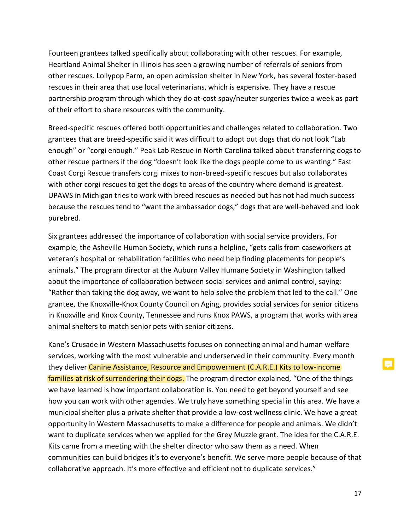Fourteen grantees talked specifically about collaborating with other rescues. For example, Heartland Animal Shelter in Illinois has seen a growing number of referrals of seniors from other rescues. Lollypop Farm, an open admission shelter in New York, has several foster-based rescues in their area that use local veterinarians, which is expensive. They have a rescue partnership program through which they do at-cost spay/neuter surgeries twice a week as part of their effort to share resources with the community.

Breed-specific rescues offered both opportunities and challenges related to collaboration. Two grantees that are breed-specific said it was difficult to adopt out dogs that do not look "Lab enough" or "corgi enough." Peak Lab Rescue in North Carolina talked about transferring dogs to other rescue partners if the dog "doesn't look like the dogs people come to us wanting." East Coast Corgi Rescue transfers corgi mixes to non-breed-specific rescues but also collaborates with other corgi rescues to get the dogs to areas of the country where demand is greatest. UPAWS in Michigan tries to work with breed rescues as needed but has not had much success because the rescues tend to "want the ambassador dogs," dogs that are well-behaved and look purebred.

Six grantees addressed the importance of collaboration with social service providers. For example, the Asheville Human Society, which runs a helpline, "gets calls from caseworkers at veteran's hospital or rehabilitation facilities who need help finding placements for people's animals." The program director at the Auburn Valley Humane Society in Washington talked about the importance of collaboration between social services and animal control, saying: "Rather than taking the dog away, we want to help solve the problem that led to the call." One grantee, the Knoxville-Knox County Council on Aging, provides social services for senior citizens in Knoxville and Knox County, Tennessee and runs Knox PAWS, a program that works with area animal shelters to match senior pets with senior citizens.

Kane's Crusade in Western Massachusetts focuses on connecting animal and human welfare services, working with the most vulnerable and underserved in their community. Every month they deliver Canine Assistance, Resource and Empowerment (C.A.R.E.) Kits to low-income families at risk of surrendering their dogs. The program director explained, "One of the things we have learned is how important collaboration is. You need to get beyond yourself and see how you can work with other agencies. We truly have something special in this area. We have a municipal shelter plus a private shelter that provide a low-cost wellness clinic. We have a great opportunity in Western Massachusetts to make a difference for people and animals. We didn't want to duplicate services when we applied for the Grey Muzzle grant. The idea for the C.A.R.E. Kits came from a meeting with the shelter director who saw them as a need. When communities can build bridges it's to everyone's benefit. We serve more people because of that collaborative approach. It's more effective and efficient not to duplicate services."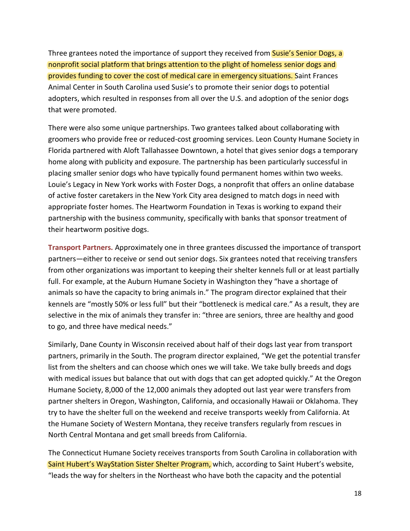Three grantees noted the importance of support they received from Susie's Senior Dogs, a nonprofit social platform that brings attention to the plight of homeless senior dogs and provides funding to cover the cost of medical care in emergency situations. Saint Frances Animal Center in South Carolina used Susie's to promote their senior dogs to potential adopters, which resulted in responses from all over the U.S. and adoption of the senior dogs that were promoted.

There were also some unique partnerships. Two grantees talked about collaborating with groomers who provide free or reduced-cost grooming services. Leon County Humane Society in Florida partnered with Aloft Tallahassee Downtown, a hotel that gives senior dogs a temporary home along with publicity and exposure. The partnership has been particularly successful in placing smaller senior dogs who have typically found permanent homes within two weeks. Louie's Legacy in New York works with Foster Dogs, a nonprofit that offers an online database of active foster caretakers in the New York City area designed to match dogs in need with appropriate foster homes. The Heartworm Foundation in Texas is working to expand their partnership with the business community, specifically with banks that sponsor treatment of their heartworm positive dogs.

**Transport Partners.** Approximately one in three grantees discussed the importance of transport partners—either to receive or send out senior dogs. Six grantees noted that receiving transfers from other organizations was important to keeping their shelter kennels full or at least partially full. For example, at the Auburn Humane Society in Washington they "have a shortage of animals so have the capacity to bring animals in." The program director explained that their kennels are "mostly 50% or less full" but their "bottleneck is medical care." As a result, they are selective in the mix of animals they transfer in: "three are seniors, three are healthy and good to go, and three have medical needs."

Similarly, Dane County in Wisconsin received about half of their dogs last year from transport partners, primarily in the South. The program director explained, "We get the potential transfer list from the shelters and can choose which ones we will take. We take bully breeds and dogs with medical issues but balance that out with dogs that can get adopted quickly." At the Oregon Humane Society, 8,000 of the 12,000 animals they adopted out last year were transfers from partner shelters in Oregon, Washington, California, and occasionally Hawaii or Oklahoma. They try to have the shelter full on the weekend and receive transports weekly from California. At the Humane Society of Western Montana, they receive transfers regularly from rescues in North Central Montana and get small breeds from California.

The Connecticut Humane Society receives transports from South Carolina in collaboration with Saint Hubert's WayStation Sister Shelter Program, which, according to Saint Hubert's website, "leads the way for shelters in the Northeast who have both the capacity and the potential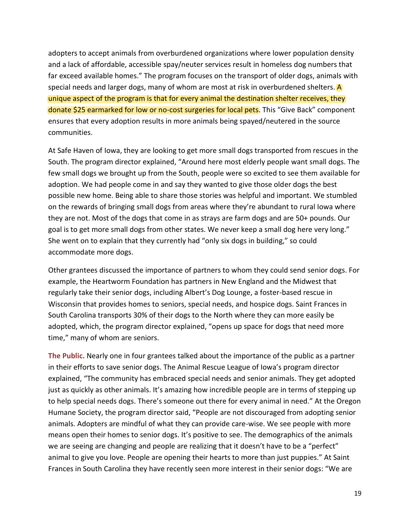adopters to accept animals from overburdened organizations where lower population density and a lack of affordable, accessible spay/neuter services result in homeless dog numbers that far exceed available homes." The program focuses on the transport of older dogs, animals with special needs and larger dogs, many of whom are most at risk in overburdened shelters. A unique aspect of the program is that for every animal the destination shelter receives, they donate \$25 earmarked for low or no-cost surgeries for local pets. This "Give Back" component ensures that every adoption results in more animals being spayed/neutered in the source communities.

At Safe Haven of Iowa, they are looking to get more small dogs transported from rescues in the South. The program director explained, "Around here most elderly people want small dogs. The few small dogs we brought up from the South, people were so excited to see them available for adoption. We had people come in and say they wanted to give those older dogs the best possible new home. Being able to share those stories was helpful and important. We stumbled on the rewards of bringing small dogs from areas where they're abundant to rural Iowa where they are not. Most of the dogs that come in as strays are farm dogs and are 50+ pounds. Our goal is to get more small dogs from other states. We never keep a small dog here very long." She went on to explain that they currently had "only six dogs in building," so could accommodate more dogs.

Other grantees discussed the importance of partners to whom they could send senior dogs. For example, the Heartworm Foundation has partners in New England and the Midwest that regularly take their senior dogs, including Albert's Dog Lounge, a foster-based rescue in Wisconsin that provides homes to seniors, special needs, and hospice dogs. Saint Frances in South Carolina transports 30% of their dogs to the North where they can more easily be adopted, which, the program director explained, "opens up space for dogs that need more time," many of whom are seniors.

**The Public.** Nearly one in four grantees talked about the importance of the public as a partner in their efforts to save senior dogs. The Animal Rescue League of Iowa's program director explained, "The community has embraced special needs and senior animals. They get adopted just as quickly as other animals. It's amazing how incredible people are in terms of stepping up to help special needs dogs. There's someone out there for every animal in need." At the Oregon Humane Society, the program director said, "People are not discouraged from adopting senior animals. Adopters are mindful of what they can provide care-wise. We see people with more means open their homes to senior dogs. It's positive to see. The demographics of the animals we are seeing are changing and people are realizing that it doesn't have to be a "perfect" animal to give you love. People are opening their hearts to more than just puppies." At Saint Frances in South Carolina they have recently seen more interest in their senior dogs: "We are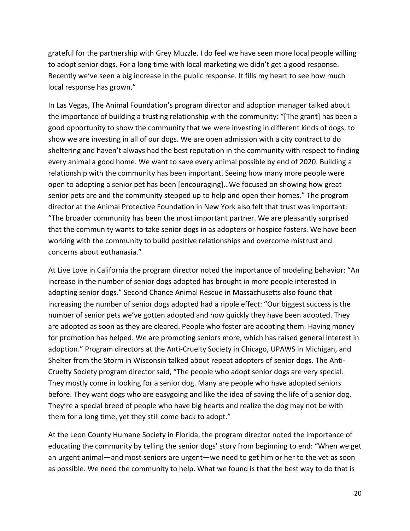grateful for the partnership with Grey Muzzle. I do feel we have seen more local people willing to adopt senior dogs. For a long time with local marketing we didn't get a good response. Recently we've seen a big increase in the public response. It fills my heart to see how much local response has grown."

In Las Vegas, The Animal Foundation's program director and adoption manager talked about the importance of building a trusting relationship with the community: "[The grant] has been a good opportunity to show the community that we were investing in different kinds of dogs, to show we are investing in all of our dogs. We are open admission with a city contract to do sheltering and haven't always had the best reputation in the community with respect to finding every animal a good home. We want to save every animal possible by end of 2020. Building a relationship with the community has been important. Seeing how many more people were open to adopting a senior pet has been [encouraging]…We focused on showing how great senior pets are and the community stepped up to help and open their homes." The program director at the Animal Protective Foundation in New York also felt that trust was important: "The broader community has been the most important partner. We are pleasantly surprised that the community wants to take senior dogs in as adopters or hospice fosters. We have been working with the community to build positive relationships and overcome mistrust and concerns about euthanasia."

At Live Love in California the program director noted the importance of modeling behavior: "An increase in the number of senior dogs adopted has brought in more people interested in adopting senior dogs." Second Chance Animal Rescue in Massachusetts also found that increasing the number of senior dogs adopted had a ripple effect: "Our biggest success is the number of senior pets we've gotten adopted and how quickly they have been adopted. They are adopted as soon as they are cleared. People who foster are adopting them. Having money for promotion has helped. We are promoting seniors more, which has raised general interest in adoption." Program directors at the Anti-Cruelty Society in Chicago, UPAWS in Michigan, and Shelter from the Storm in Wisconsin talked about repeat adopters of senior dogs. The Anti-Cruelty Society program director said, "The people who adopt senior dogs are very special. They mostly come in looking for a senior dog. Many are people who have adopted seniors before. They want dogs who are easygoing and like the idea of saving the life of a senior dog. They're a special breed of people who have big hearts and realize the dog may not be with them for a long time, yet they still come back to adopt."

At the Leon County Humane Society in Florida, the program director noted the importance of educating the community by telling the senior dogs' story from beginning to end: "When we get an urgent animal—and most seniors are urgent—we need to get him or her to the vet as soon as possible. We need the community to help. What we found is that the best way to do that is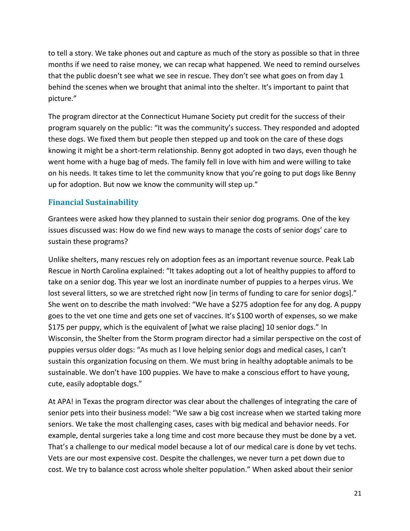to tell a story. We take phones out and capture as much of the story as possible so that in three months if we need to raise money, we can recap what happened. We need to remind ourselves that the public doesn't see what we see in rescue. They don't see what goes on from day 1 behind the scenes when we brought that animal into the shelter. It's important to paint that picture."

The program director at the Connecticut Humane Society put credit for the success of their program squarely on the public: "It was the community's success. They responded and adopted these dogs. We fixed them but people then stepped up and took on the care of these dogs knowing it might be a short-term relationship. Benny got adopted in two days, even though he went home with a huge bag of meds. The family fell in love with him and were willing to take on his needs. It takes time to let the community know that you're going to put dogs like Benny up for adoption. But now we know the community will step up."

## **Financial Sustainability**

Grantees were asked how they planned to sustain their senior dog programs. One of the key issues discussed was: How do we find new ways to manage the costs of senior dogs' care to sustain these programs?

Unlike shelters, many rescues rely on adoption fees as an important revenue source. Peak Lab Rescue in North Carolina explained: "It takes adopting out a lot of healthy puppies to afford to take on a senior dog. This year we lost an inordinate number of puppies to a herpes virus. We lost several litters, so we are stretched right now [in terms of funding to care for senior dogs]." She went on to describe the math involved: "We have a \$275 adoption fee for any dog. A puppy goes to the vet one time and gets one set of vaccines. It's \$100 worth of expenses, so we make \$175 per puppy, which is the equivalent of [what we raise placing] 10 senior dogs." In Wisconsin, the Shelter from the Storm program director had a similar perspective on the cost of puppies versus older dogs: "As much as I love helping senior dogs and medical cases, I can't sustain this organization focusing on them. We must bring in healthy adoptable animals to be sustainable. We don't have 100 puppies. We have to make a conscious effort to have young, cute, easily adoptable dogs."

At APA! in Texas the program director was clear about the challenges of integrating the care of senior pets into their business model: "We saw a big cost increase when we started taking more seniors. We take the most challenging cases, cases with big medical and behavior needs. For example, dental surgeries take a long time and cost more because they must be done by a vet. That's a challenge to our medical model because a lot of our medical care is done by vet techs. Vets are our most expensive cost. Despite the challenges, we never turn a pet down due to cost. We try to balance cost across whole shelter population." When asked about their senior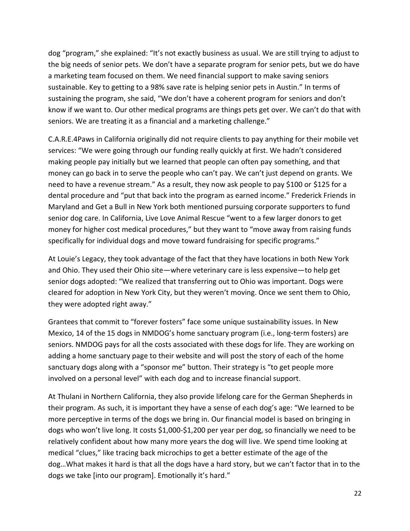dog "program," she explained: "It's not exactly business as usual. We are still trying to adjust to the big needs of senior pets. We don't have a separate program for senior pets, but we do have a marketing team focused on them. We need financial support to make saving seniors sustainable. Key to getting to a 98% save rate is helping senior pets in Austin." In terms of sustaining the program, she said, "We don't have a coherent program for seniors and don't know if we want to. Our other medical programs are things pets get over. We can't do that with seniors. We are treating it as a financial and a marketing challenge."

C.A.R.E.4Paws in California originally did not require clients to pay anything for their mobile vet services: "We were going through our funding really quickly at first. We hadn't considered making people pay initially but we learned that people can often pay something, and that money can go back in to serve the people who can't pay. We can't just depend on grants. We need to have a revenue stream." As a result, they now ask people to pay \$100 or \$125 for a dental procedure and "put that back into the program as earned income." Frederick Friends in Maryland and Get a Bull in New York both mentioned pursuing corporate supporters to fund senior dog care. In California, Live Love Animal Rescue "went to a few larger donors to get money for higher cost medical procedures," but they want to "move away from raising funds specifically for individual dogs and move toward fundraising for specific programs."

At Louie's Legacy, they took advantage of the fact that they have locations in both New York and Ohio. They used their Ohio site—where veterinary care is less expensive—to help get senior dogs adopted: "We realized that transferring out to Ohio was important. Dogs were cleared for adoption in New York City, but they weren't moving. Once we sent them to Ohio, they were adopted right away."

Grantees that commit to "forever fosters" face some unique sustainability issues. In New Mexico, 14 of the 15 dogs in NMDOG's home sanctuary program (i.e., long-term fosters) are seniors. NMDOG pays for all the costs associated with these dogs for life. They are working on adding a home sanctuary page to their website and will post the story of each of the home sanctuary dogs along with a "sponsor me" button. Their strategy is "to get people more involved on a personal level" with each dog and to increase financial support.

At Thulani in Northern California, they also provide lifelong care for the German Shepherds in their program. As such, it is important they have a sense of each dog's age: "We learned to be more perceptive in terms of the dogs we bring in. Our financial model is based on bringing in dogs who won't live long. It costs \$1,000-\$1,200 per year per dog, so financially we need to be relatively confident about how many more years the dog will live. We spend time looking at medical "clues," like tracing back microchips to get a better estimate of the age of the dog…What makes it hard is that all the dogs have a hard story, but we can't factor that in to the dogs we take [into our program]. Emotionally it's hard."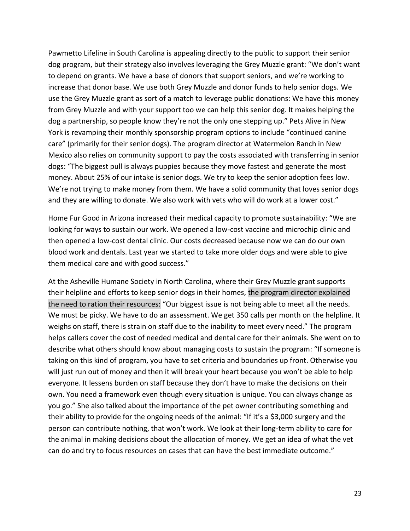Pawmetto Lifeline in South Carolina is appealing directly to the public to support their senior dog program, but their strategy also involves leveraging the Grey Muzzle grant: "We don't want to depend on grants. We have a base of donors that support seniors, and we're working to increase that donor base. We use both Grey Muzzle and donor funds to help senior dogs. We use the Grey Muzzle grant as sort of a match to leverage public donations: We have this money from Grey Muzzle and with your support too we can help this senior dog. It makes helping the dog a partnership, so people know they're not the only one stepping up." Pets Alive in New York is revamping their monthly sponsorship program options to include "continued canine care" (primarily for their senior dogs). The program director at Watermelon Ranch in New Mexico also relies on community support to pay the costs associated with transferring in senior dogs: "The biggest pull is always puppies because they move fastest and generate the most money. About 25% of our intake is senior dogs. We try to keep the senior adoption fees low. We're not trying to make money from them. We have a solid community that loves senior dogs and they are willing to donate. We also work with vets who will do work at a lower cost."

Home Fur Good in Arizona increased their medical capacity to promote sustainability: "We are looking for ways to sustain our work. We opened a low-cost vaccine and microchip clinic and then opened a low-cost dental clinic. Our costs decreased because now we can do our own blood work and dentals. Last year we started to take more older dogs and were able to give them medical care and with good success."

At the Asheville Humane Society in North Carolina, where their Grey Muzzle grant supports their helpline and efforts to keep senior dogs in their homes, the program director explained the need to ration their resources: "Our biggest issue is not being able to meet all the needs. We must be picky. We have to do an assessment. We get 350 calls per month on the helpline. It weighs on staff, there is strain on staff due to the inability to meet every need." The program helps callers cover the cost of needed medical and dental care for their animals. She went on to describe what others should know about managing costs to sustain the program: "If someone is taking on this kind of program, you have to set criteria and boundaries up front. Otherwise you will just run out of money and then it will break your heart because you won't be able to help everyone. It lessens burden on staff because they don't have to make the decisions on their own. You need a framework even though every situation is unique. You can always change as you go." She also talked about the importance of the pet owner contributing something and their ability to provide for the ongoing needs of the animal: "If it's a \$3,000 surgery and the person can contribute nothing, that won't work. We look at their long-term ability to care for the animal in making decisions about the allocation of money. We get an idea of what the vet can do and try to focus resources on cases that can have the best immediate outcome."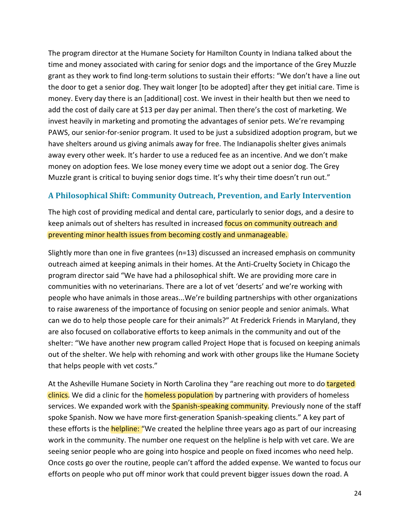The program director at the Humane Society for Hamilton County in Indiana talked about the time and money associated with caring for senior dogs and the importance of the Grey Muzzle grant as they work to find long-term solutions to sustain their efforts: "We don't have a line out the door to get a senior dog. They wait longer [to be adopted] after they get initial care. Time is money. Every day there is an [additional] cost. We invest in their health but then we need to add the cost of daily care at \$13 per day per animal. Then there's the cost of marketing. We invest heavily in marketing and promoting the advantages of senior pets. We're revamping PAWS, our senior-for-senior program. It used to be just a subsidized adoption program, but we have shelters around us giving animals away for free. The Indianapolis shelter gives animals away every other week. It's harder to use a reduced fee as an incentive. And we don't make money on adoption fees. We lose money every time we adopt out a senior dog. The Grey Muzzle grant is critical to buying senior dogs time. It's why their time doesn't run out."

### **A Philosophical Shift: Community Outreach, Prevention, and Early Intervention**

The high cost of providing medical and dental care, particularly to senior dogs, and a desire to keep animals out of shelters has resulted in increased focus on community outreach and preventing minor health issues from becoming costly and unmanageable.

Slightly more than one in five grantees (n=13) discussed an increased emphasis on community outreach aimed at keeping animals in their homes. At the Anti-Cruelty Society in Chicago the program director said "We have had a philosophical shift. We are providing more care in communities with no veterinarians. There are a lot of vet 'deserts' and we're working with people who have animals in those areas...We're building partnerships with other organizations to raise awareness of the importance of focusing on senior people and senior animals. What can we do to help those people care for their animals?" At Frederick Friends in Maryland, they are also focused on collaborative efforts to keep animals in the community and out of the shelter: "We have another new program called Project Hope that is focused on keeping animals out of the shelter. We help with rehoming and work with other groups like the Humane Society that helps people with vet costs."

At the Asheville Humane Society in North Carolina they "are reaching out more to do targeted clinics. We did a clinic for the **homeless population** by partnering with providers of homeless services. We expanded work with the **Spanish-speaking community**. Previously none of the staff spoke Spanish. Now we have more first-generation Spanish-speaking clients." A key part of these efforts is the **helpline:** "We created the helpline three years ago as part of our increasing work in the community. The number one request on the helpline is help with vet care. We are seeing senior people who are going into hospice and people on fixed incomes who need help. Once costs go over the routine, people can't afford the added expense. We wanted to focus our efforts on people who put off minor work that could prevent bigger issues down the road. A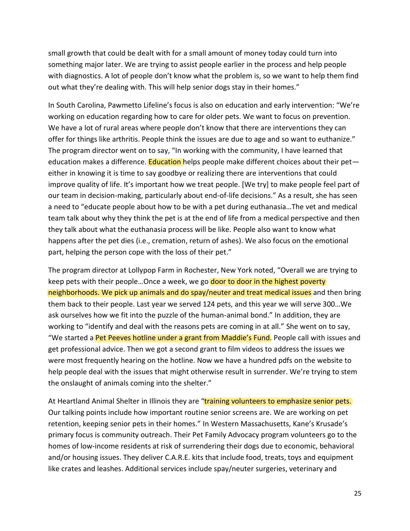small growth that could be dealt with for a small amount of money today could turn into something major later. We are trying to assist people earlier in the process and help people with diagnostics. A lot of people don't know what the problem is, so we want to help them find out what they're dealing with. This will help senior dogs stay in their homes."

In South Carolina, Pawmetto Lifeline's focus is also on education and early intervention: "We're working on education regarding how to care for older pets. We want to focus on prevention. We have a lot of rural areas where people don't know that there are interventions they can offer for things like arthritis. People think the issues are due to age and so want to euthanize." The program director went on to say, "In working with the community, I have learned that education makes a difference. Education helps people make different choices about their peteither in knowing it is time to say goodbye or realizing there are interventions that could improve quality of life. It's important how we treat people. [We try] to make people feel part of our team in decision-making, particularly about end-of-life decisions." As a result, she has seen a need to "educate people about how to be with a pet during euthanasia…The vet and medical team talk about why they think the pet is at the end of life from a medical perspective and then they talk about what the euthanasia process will be like. People also want to know what happens after the pet dies (i.e., cremation, return of ashes). We also focus on the emotional part, helping the person cope with the loss of their pet."

The program director at Lollypop Farm in Rochester, New York noted, "Overall we are trying to keep pets with their people...Once a week, we go door to door in the highest poverty neighborhoods. We pick up animals and do spay/neuter and treat medical issues and then bring them back to their people. Last year we served 124 pets, and this year we will serve 300…We ask ourselves how we fit into the puzzle of the human-animal bond." In addition, they are working to "identify and deal with the reasons pets are coming in at all." She went on to say, "We started a Pet Peeves hotline under a grant from Maddie's Fund. People call with issues and get professional advice. Then we got a second grant to film videos to address the issues we were most frequently hearing on the hotline. Now we have a hundred pdfs on the website to help people deal with the issues that might otherwise result in surrender. We're trying to stem the onslaught of animals coming into the shelter."

At Heartland Animal Shelter in Illinois they are "training volunteers to emphasize senior pets. Our talking points include how important routine senior screens are. We are working on pet retention, keeping senior pets in their homes." In Western Massachusetts, Kane's Krusade's primary focus is community outreach. Their Pet Family Advocacy program volunteers go to the homes of low-income residents at risk of surrendering their dogs due to economic, behavioral and/or housing issues. They deliver C.A.R.E. kits that include food, treats, toys and equipment like crates and leashes. Additional services include spay/neuter surgeries, veterinary and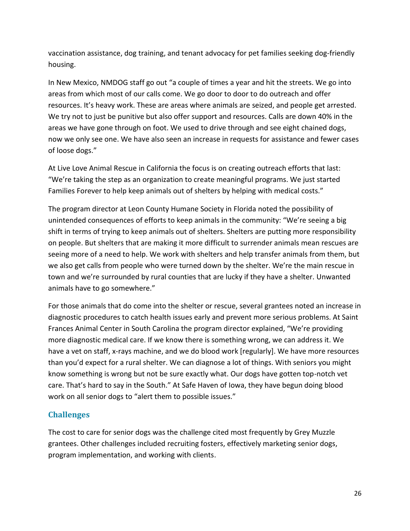vaccination assistance, dog training, and tenant advocacy for pet families seeking dog-friendly housing.

In New Mexico, NMDOG staff go out "a couple of times a year and hit the streets. We go into areas from which most of our calls come. We go door to door to do outreach and offer resources. It's heavy work. These are areas where animals are seized, and people get arrested. We try not to just be punitive but also offer support and resources. Calls are down 40% in the areas we have gone through on foot. We used to drive through and see eight chained dogs, now we only see one. We have also seen an increase in requests for assistance and fewer cases of loose dogs."

At Live Love Animal Rescue in California the focus is on creating outreach efforts that last: "We're taking the step as an organization to create meaningful programs. We just started Families Forever to help keep animals out of shelters by helping with medical costs."

The program director at Leon County Humane Society in Florida noted the possibility of unintended consequences of efforts to keep animals in the community: "We're seeing a big shift in terms of trying to keep animals out of shelters. Shelters are putting more responsibility on people. But shelters that are making it more difficult to surrender animals mean rescues are seeing more of a need to help. We work with shelters and help transfer animals from them, but we also get calls from people who were turned down by the shelter. We're the main rescue in town and we're surrounded by rural counties that are lucky if they have a shelter. Unwanted animals have to go somewhere."

For those animals that do come into the shelter or rescue, several grantees noted an increase in diagnostic procedures to catch health issues early and prevent more serious problems. At Saint Frances Animal Center in South Carolina the program director explained, "We're providing more diagnostic medical care. If we know there is something wrong, we can address it. We have a vet on staff, x-rays machine, and we do blood work [regularly]. We have more resources than you'd expect for a rural shelter. We can diagnose a lot of things. With seniors you might know something is wrong but not be sure exactly what. Our dogs have gotten top-notch vet care. That's hard to say in the South." At Safe Haven of Iowa, they have begun doing blood work on all senior dogs to "alert them to possible issues."

### **Challenges**

The cost to care for senior dogs was the challenge cited most frequently by Grey Muzzle grantees. Other challenges included recruiting fosters, effectively marketing senior dogs, program implementation, and working with clients.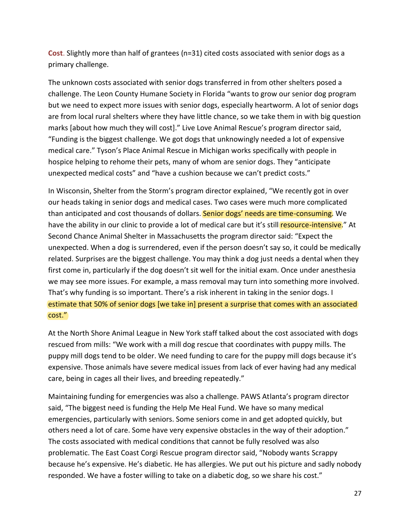**Cost**. Slightly more than half of grantees (n=31) cited costs associated with senior dogs as a primary challenge.

The unknown costs associated with senior dogs transferred in from other shelters posed a challenge. The Leon County Humane Society in Florida "wants to grow our senior dog program but we need to expect more issues with senior dogs, especially heartworm. A lot of senior dogs are from local rural shelters where they have little chance, so we take them in with big question marks [about how much they will cost]." Live Love Animal Rescue's program director said, "Funding is the biggest challenge. We got dogs that unknowingly needed a lot of expensive medical care." Tyson's Place Animal Rescue in Michigan works specifically with people in hospice helping to rehome their pets, many of whom are senior dogs. They "anticipate unexpected medical costs" and "have a cushion because we can't predict costs."

In Wisconsin, Shelter from the Storm's program director explained, "We recently got in over our heads taking in senior dogs and medical cases. Two cases were much more complicated than anticipated and cost thousands of dollars. Senior dogs' needs are time-consuming. We have the ability in our clinic to provide a lot of medical care but it's still resource-intensive." At Second Chance Animal Shelter in Massachusetts the program director said: "Expect the unexpected. When a dog is surrendered, even if the person doesn't say so, it could be medically related. Surprises are the biggest challenge. You may think a dog just needs a dental when they first come in, particularly if the dog doesn't sit well for the initial exam. Once under anesthesia we may see more issues. For example, a mass removal may turn into something more involved. That's why funding is so important. There's a risk inherent in taking in the senior dogs. I estimate that 50% of senior dogs [we take in] present a surprise that comes with an associated cost."

At the North Shore Animal League in New York staff talked about the cost associated with dogs rescued from mills: "We work with a mill dog rescue that coordinates with puppy mills. The puppy mill dogs tend to be older. We need funding to care for the puppy mill dogs because it's expensive. Those animals have severe medical issues from lack of ever having had any medical care, being in cages all their lives, and breeding repeatedly."

Maintaining funding for emergencies was also a challenge. PAWS Atlanta's program director said, "The biggest need is funding the Help Me Heal Fund. We have so many medical emergencies, particularly with seniors. Some seniors come in and get adopted quickly, but others need a lot of care. Some have very expensive obstacles in the way of their adoption." The costs associated with medical conditions that cannot be fully resolved was also problematic. The East Coast Corgi Rescue program director said, "Nobody wants Scrappy because he's expensive. He's diabetic. He has allergies. We put out his picture and sadly nobody responded. We have a foster willing to take on a diabetic dog, so we share his cost."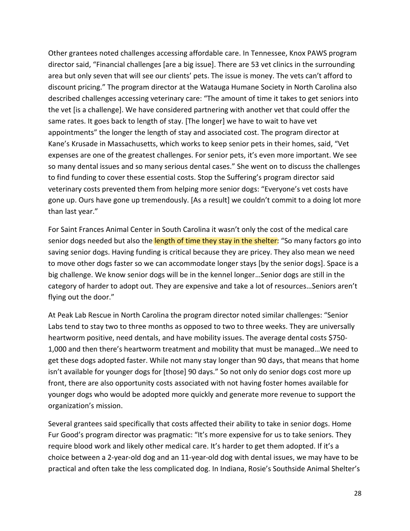Other grantees noted challenges accessing affordable care. In Tennessee, Knox PAWS program director said, "Financial challenges [are a big issue]. There are 53 vet clinics in the surrounding area but only seven that will see our clients' pets. The issue is money. The vets can't afford to discount pricing." The program director at the Watauga Humane Society in North Carolina also described challenges accessing veterinary care: "The amount of time it takes to get seniors into the vet [is a challenge]. We have considered partnering with another vet that could offer the same rates. It goes back to length of stay. [The longer] we have to wait to have vet appointments" the longer the length of stay and associated cost. The program director at Kane's Krusade in Massachusetts, which works to keep senior pets in their homes, said, "Vet expenses are one of the greatest challenges. For senior pets, it's even more important. We see so many dental issues and so many serious dental cases." She went on to discuss the challenges to find funding to cover these essential costs. Stop the Suffering's program director said veterinary costs prevented them from helping more senior dogs: "Everyone's vet costs have gone up. Ours have gone up tremendously. [As a result] we couldn't commit to a doing lot more than last year."

For Saint Frances Animal Center in South Carolina it wasn't only the cost of the medical care senior dogs needed but also the length of time they stay in the shelter: "So many factors go into saving senior dogs. Having funding is critical because they are pricey. They also mean we need to move other dogs faster so we can accommodate longer stays [by the senior dogs]. Space is a big challenge. We know senior dogs will be in the kennel longer…Senior dogs are still in the category of harder to adopt out. They are expensive and take a lot of resources…Seniors aren't flying out the door."

At Peak Lab Rescue in North Carolina the program director noted similar challenges: "Senior Labs tend to stay two to three months as opposed to two to three weeks. They are universally heartworm positive, need dentals, and have mobility issues. The average dental costs \$750- 1,000 and then there's heartworm treatment and mobility that must be managed…We need to get these dogs adopted faster. While not many stay longer than 90 days, that means that home isn't available for younger dogs for [those] 90 days." So not only do senior dogs cost more up front, there are also opportunity costs associated with not having foster homes available for younger dogs who would be adopted more quickly and generate more revenue to support the organization's mission.

Several grantees said specifically that costs affected their ability to take in senior dogs. Home Fur Good's program director was pragmatic: "It's more expensive for us to take seniors. They require blood work and likely other medical care. It's harder to get them adopted. If it's a choice between a 2-year-old dog and an 11-year-old dog with dental issues, we may have to be practical and often take the less complicated dog. In Indiana, Rosie's Southside Animal Shelter's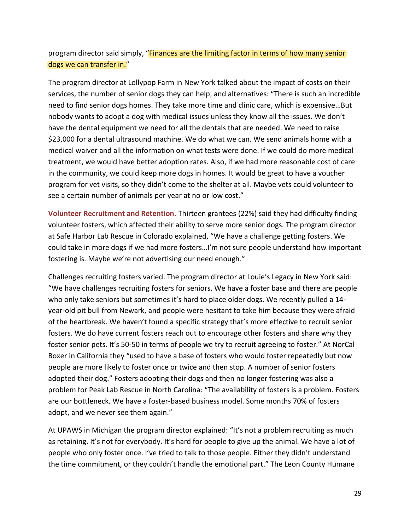## program director said simply, "Finances are the limiting factor in terms of how many senior dogs we can transfer in."

The program director at Lollypop Farm in New York talked about the impact of costs on their services, the number of senior dogs they can help, and alternatives: "There is such an incredible need to find senior dogs homes. They take more time and clinic care, which is expensive…But nobody wants to adopt a dog with medical issues unless they know all the issues. We don't have the dental equipment we need for all the dentals that are needed. We need to raise \$23,000 for a dental ultrasound machine. We do what we can. We send animals home with a medical waiver and all the information on what tests were done. If we could do more medical treatment, we would have better adoption rates. Also, if we had more reasonable cost of care in the community, we could keep more dogs in homes. It would be great to have a voucher program for vet visits, so they didn't come to the shelter at all. Maybe vets could volunteer to see a certain number of animals per year at no or low cost."

**Volunteer Recruitment and Retention.** Thirteen grantees (22%) said they had difficulty finding volunteer fosters, which affected their ability to serve more senior dogs. The program director at Safe Harbor Lab Rescue in Colorado explained, "We have a challenge getting fosters. We could take in more dogs if we had more fosters…I'm not sure people understand how important fostering is. Maybe we're not advertising our need enough."

Challenges recruiting fosters varied. The program director at Louie's Legacy in New York said: "We have challenges recruiting fosters for seniors. We have a foster base and there are people who only take seniors but sometimes it's hard to place older dogs. We recently pulled a 14 year-old pit bull from Newark, and people were hesitant to take him because they were afraid of the heartbreak. We haven't found a specific strategy that's more effective to recruit senior fosters. We do have current fosters reach out to encourage other fosters and share why they foster senior pets. It's 50-50 in terms of people we try to recruit agreeing to foster." At NorCal Boxer in California they "used to have a base of fosters who would foster repeatedly but now people are more likely to foster once or twice and then stop. A number of senior fosters adopted their dog." Fosters adopting their dogs and then no longer fostering was also a problem for Peak Lab Rescue in North Carolina: "The availability of fosters is a problem. Fosters are our bottleneck. We have a foster-based business model. Some months 70% of fosters adopt, and we never see them again."

At UPAWS in Michigan the program director explained: "It's not a problem recruiting as much as retaining. It's not for everybody. It's hard for people to give up the animal. We have a lot of people who only foster once. I've tried to talk to those people. Either they didn't understand the time commitment, or they couldn't handle the emotional part." The Leon County Humane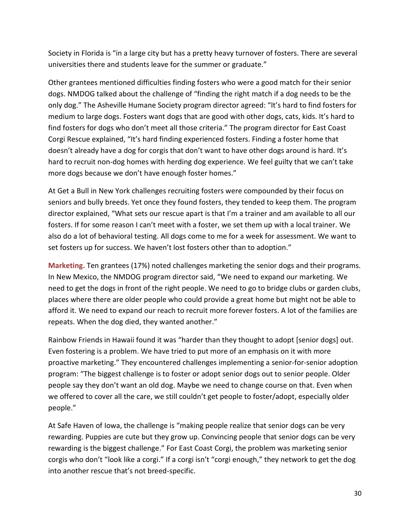Society in Florida is "in a large city but has a pretty heavy turnover of fosters. There are several universities there and students leave for the summer or graduate."

Other grantees mentioned difficulties finding fosters who were a good match for their senior dogs. NMDOG talked about the challenge of "finding the right match if a dog needs to be the only dog." The Asheville Humane Society program director agreed: "It's hard to find fosters for medium to large dogs. Fosters want dogs that are good with other dogs, cats, kids. It's hard to find fosters for dogs who don't meet all those criteria." The program director for East Coast Corgi Rescue explained, "It's hard finding experienced fosters. Finding a foster home that doesn't already have a dog for corgis that don't want to have other dogs around is hard. It's hard to recruit non-dog homes with herding dog experience. We feel guilty that we can't take more dogs because we don't have enough foster homes."

At Get a Bull in New York challenges recruiting fosters were compounded by their focus on seniors and bully breeds. Yet once they found fosters, they tended to keep them. The program director explained, "What sets our rescue apart is that I'm a trainer and am available to all our fosters. If for some reason I can't meet with a foster, we set them up with a local trainer. We also do a lot of behavioral testing. All dogs come to me for a week for assessment. We want to set fosters up for success. We haven't lost fosters other than to adoption."

**Marketing.** Ten grantees (17%) noted challenges marketing the senior dogs and their programs. In New Mexico, the NMDOG program director said, "We need to expand our marketing. We need to get the dogs in front of the right people. We need to go to bridge clubs or garden clubs, places where there are older people who could provide a great home but might not be able to afford it. We need to expand our reach to recruit more forever fosters. A lot of the families are repeats. When the dog died, they wanted another."

Rainbow Friends in Hawaii found it was "harder than they thought to adopt [senior dogs] out. Even fostering is a problem. We have tried to put more of an emphasis on it with more proactive marketing." They encountered challenges implementing a senior-for-senior adoption program: "The biggest challenge is to foster or adopt senior dogs out to senior people. Older people say they don't want an old dog. Maybe we need to change course on that. Even when we offered to cover all the care, we still couldn't get people to foster/adopt, especially older people."

At Safe Haven of Iowa, the challenge is "making people realize that senior dogs can be very rewarding. Puppies are cute but they grow up. Convincing people that senior dogs can be very rewarding is the biggest challenge." For East Coast Corgi, the problem was marketing senior corgis who don't "look like a corgi." If a corgi isn't "corgi enough," they network to get the dog into another rescue that's not breed-specific.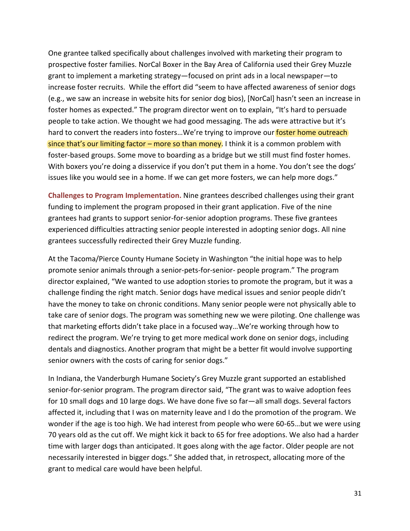One grantee talked specifically about challenges involved with marketing their program to prospective foster families. NorCal Boxer in the Bay Area of California used their Grey Muzzle grant to implement a marketing strategy—focused on print ads in a local newspaper—to increase foster recruits. While the effort did "seem to have affected awareness of senior dogs (e.g., we saw an increase in website hits for senior dog bios), [NorCal] hasn't seen an increase in foster homes as expected." The program director went on to explain, "It's hard to persuade people to take action. We thought we had good messaging. The ads were attractive but it's hard to convert the readers into fosters...We're trying to improve our foster home outreach since that's our limiting factor – more so than money. I think it is a common problem with foster-based groups. Some move to boarding as a bridge but we still must find foster homes. With boxers you're doing a disservice if you don't put them in a home. You don't see the dogs' issues like you would see in a home. If we can get more fosters, we can help more dogs."

**Challenges to Program Implementation.** Nine grantees described challenges using their grant funding to implement the program proposed in their grant application. Five of the nine grantees had grants to support senior-for-senior adoption programs. These five grantees experienced difficulties attracting senior people interested in adopting senior dogs. All nine grantees successfully redirected their Grey Muzzle funding.

At the Tacoma/Pierce County Humane Society in Washington "the initial hope was to help promote senior animals through a senior-pets-for-senior- people program." The program director explained, "We wanted to use adoption stories to promote the program, but it was a challenge finding the right match. Senior dogs have medical issues and senior people didn't have the money to take on chronic conditions. Many senior people were not physically able to take care of senior dogs. The program was something new we were piloting. One challenge was that marketing efforts didn't take place in a focused way…We're working through how to redirect the program. We're trying to get more medical work done on senior dogs, including dentals and diagnostics. Another program that might be a better fit would involve supporting senior owners with the costs of caring for senior dogs."

In Indiana, the Vanderburgh Humane Society's Grey Muzzle grant supported an established senior-for-senior program. The program director said, "The grant was to waive adoption fees for 10 small dogs and 10 large dogs. We have done five so far—all small dogs. Several factors affected it, including that I was on maternity leave and I do the promotion of the program. We wonder if the age is too high. We had interest from people who were 60-65…but we were using 70 years old as the cut off. We might kick it back to 65 for free adoptions. We also had a harder time with larger dogs than anticipated. It goes along with the age factor. Older people are not necessarily interested in bigger dogs." She added that, in retrospect, allocating more of the grant to medical care would have been helpful.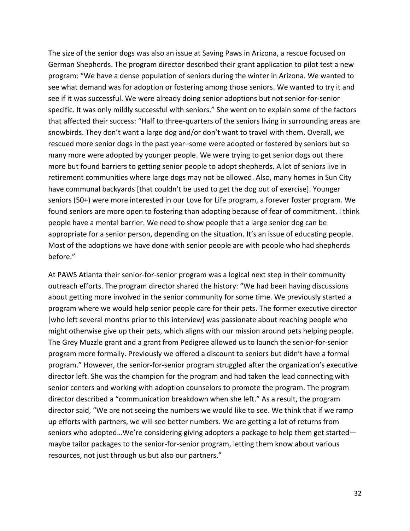The size of the senior dogs was also an issue at Saving Paws in Arizona, a rescue focused on German Shepherds. The program director described their grant application to pilot test a new program: "We have a dense population of seniors during the winter in Arizona. We wanted to see what demand was for adoption or fostering among those seniors. We wanted to try it and see if it was successful. We were already doing senior adoptions but not senior-for-senior specific. It was only mildly successful with seniors." She went on to explain some of the factors that affected their success: "Half to three-quarters of the seniors living in surrounding areas are snowbirds. They don't want a large dog and/or don't want to travel with them. Overall, we rescued more senior dogs in the past year–some were adopted or fostered by seniors but so many more were adopted by younger people. We were trying to get senior dogs out there more but found barriers to getting senior people to adopt shepherds. A lot of seniors live in retirement communities where large dogs may not be allowed. Also, many homes in Sun City have communal backyards [that couldn't be used to get the dog out of exercise]. Younger seniors (50+) were more interested in our Love for Life program, a forever foster program. We found seniors are more open to fostering than adopting because of fear of commitment. I think people have a mental barrier. We need to show people that a large senior dog can be appropriate for a senior person, depending on the situation. It's an issue of educating people. Most of the adoptions we have done with senior people are with people who had shepherds before."

At PAWS Atlanta their senior-for-senior program was a logical next step in their community outreach efforts. The program director shared the history: "We had been having discussions about getting more involved in the senior community for some time. We previously started a program where we would help senior people care for their pets. The former executive director [who left several months prior to this interview] was passionate about reaching people who might otherwise give up their pets, which aligns with our mission around pets helping people. The Grey Muzzle grant and a grant from Pedigree allowed us to launch the senior-for-senior program more formally. Previously we offered a discount to seniors but didn't have a formal program." However, the senior-for-senior program struggled after the organization's executive director left. She was the champion for the program and had taken the lead connecting with senior centers and working with adoption counselors to promote the program. The program director described a "communication breakdown when she left." As a result, the program director said, "We are not seeing the numbers we would like to see. We think that if we ramp up efforts with partners, we will see better numbers. We are getting a lot of returns from seniors who adopted…We're considering giving adopters a package to help them get started maybe tailor packages to the senior-for-senior program, letting them know about various resources, not just through us but also our partners."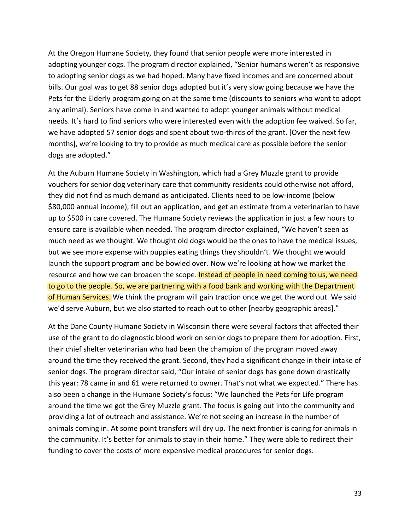At the Oregon Humane Society, they found that senior people were more interested in adopting younger dogs. The program director explained, "Senior humans weren't as responsive to adopting senior dogs as we had hoped. Many have fixed incomes and are concerned about bills. Our goal was to get 88 senior dogs adopted but it's very slow going because we have the Pets for the Elderly program going on at the same time (discounts to seniors who want to adopt any animal). Seniors have come in and wanted to adopt younger animals without medical needs. It's hard to find seniors who were interested even with the adoption fee waived. So far, we have adopted 57 senior dogs and spent about two-thirds of the grant. [Over the next few months], we're looking to try to provide as much medical care as possible before the senior dogs are adopted."

At the Auburn Humane Society in Washington, which had a Grey Muzzle grant to provide vouchers for senior dog veterinary care that community residents could otherwise not afford, they did not find as much demand as anticipated. Clients need to be low-income (below \$80,000 annual income), fill out an application, and get an estimate from a veterinarian to have up to \$500 in care covered. The Humane Society reviews the application in just a few hours to ensure care is available when needed. The program director explained, "We haven't seen as much need as we thought. We thought old dogs would be the ones to have the medical issues, but we see more expense with puppies eating things they shouldn't. We thought we would launch the support program and be bowled over. Now we're looking at how we market the resource and how we can broaden the scope. Instead of people in need coming to us, we need to go to the people. So, we are partnering with a food bank and working with the Department of Human Services. We think the program will gain traction once we get the word out. We said we'd serve Auburn, but we also started to reach out to other [nearby geographic areas]."

At the Dane County Humane Society in Wisconsin there were several factors that affected their use of the grant to do diagnostic blood work on senior dogs to prepare them for adoption. First, their chief shelter veterinarian who had been the champion of the program moved away around the time they received the grant. Second, they had a significant change in their intake of senior dogs. The program director said, "Our intake of senior dogs has gone down drastically this year: 78 came in and 61 were returned to owner. That's not what we expected." There has also been a change in the Humane Society's focus: "We launched the Pets for Life program around the time we got the Grey Muzzle grant. The focus is going out into the community and providing a lot of outreach and assistance. We're not seeing an increase in the number of animals coming in. At some point transfers will dry up. The next frontier is caring for animals in the community. It's better for animals to stay in their home." They were able to redirect their funding to cover the costs of more expensive medical procedures for senior dogs.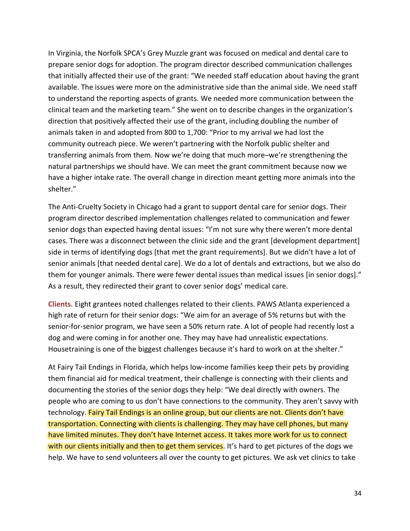In Virginia, the Norfolk SPCA's Grey Muzzle grant was focused on medical and dental care to prepare senior dogs for adoption. The program director described communication challenges that initially affected their use of the grant: "We needed staff education about having the grant available. The issues were more on the administrative side than the animal side. We need staff to understand the reporting aspects of grants. We needed more communication between the clinical team and the marketing team." She went on to describe changes in the organization's direction that positively affected their use of the grant, including doubling the number of animals taken in and adopted from 800 to 1,700: "Prior to my arrival we had lost the community outreach piece. We weren't partnering with the Norfolk public shelter and transferring animals from them. Now we're doing that much more–we're strengthening the natural partnerships we should have. We can meet the grant commitment because now we have a higher intake rate. The overall change in direction meant getting more animals into the shelter."

The Anti-Cruelty Society in Chicago had a grant to support dental care for senior dogs. Their program director described implementation challenges related to communication and fewer senior dogs than expected having dental issues: "I'm not sure why there weren't more dental cases. There was a disconnect between the clinic side and the grant [development department] side in terms of identifying dogs [that met the grant requirements]. But we didn't have a lot of senior animals [that needed dental care]. We do a lot of dentals and extractions, but we also do them for younger animals. There were fewer dental issues than medical issues [in senior dogs]." As a result, they redirected their grant to cover senior dogs' medical care.

**Clients.** Eight grantees noted challenges related to their clients. PAWS Atlanta experienced a high rate of return for their senior dogs: "We aim for an average of 5% returns but with the senior-for-senior program, we have seen a 50% return rate. A lot of people had recently lost a dog and were coming in for another one. They may have had unrealistic expectations. Housetraining is one of the biggest challenges because it's hard to work on at the shelter."

At Fairy Tail Endings in Florida, which helps low-income families keep their pets by providing them financial aid for medical treatment, their challenge is connecting with their clients and documenting the stories of the senior dogs they help: "We deal directly with owners. The people who are coming to us don't have connections to the community. They aren't savvy with technology. Fairy Tail Endings is an online group, but our clients are not. Clients don't have transportation. Connecting with clients is challenging. They may have cell phones, but many have limited minutes. They don't have Internet access. It takes more work for us to connect with our clients initially and then to get them services. It's hard to get pictures of the dogs we help. We have to send volunteers all over the county to get pictures. We ask vet clinics to take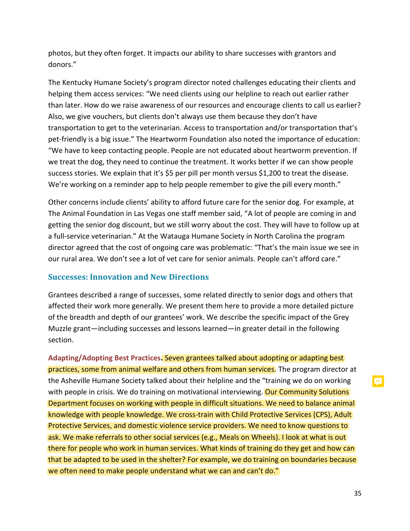photos, but they often forget. It impacts our ability to share successes with grantors and donors."

The Kentucky Humane Society's program director noted challenges educating their clients and helping them access services: "We need clients using our helpline to reach out earlier rather than later. How do we raise awareness of our resources and encourage clients to call us earlier? Also, we give vouchers, but clients don't always use them because they don't have transportation to get to the veterinarian. Access to transportation and/or transportation that's pet-friendly is a big issue." The Heartworm Foundation also noted the importance of education: "We have to keep contacting people. People are not educated about heartworm prevention. If we treat the dog, they need to continue the treatment. It works better if we can show people success stories. We explain that it's \$5 per pill per month versus \$1,200 to treat the disease. We're working on a reminder app to help people remember to give the pill every month."

Other concerns include clients' ability to afford future care for the senior dog. For example, at The Animal Foundation in Las Vegas one staff member said, "A lot of people are coming in and getting the senior dog discount, but we still worry about the cost. They will have to follow up at a full-service veterinarian." At the Watauga Humane Society in North Carolina the program director agreed that the cost of ongoing care was problematic: "That's the main issue we see in our rural area. We don't see a lot of vet care for senior animals. People can't afford care."

### **Successes: Innovation and New Directions**

Grantees described a range of successes, some related directly to senior dogs and others that affected their work more generally. We present them here to provide a more detailed picture of the breadth and depth of our grantees' work. We describe the specific impact of the Grey Muzzle grant—including successes and lessons learned—in greater detail in the following section.

**Adapting/Adopting Best Practices.** Seven grantees talked about adopting or adapting best practices, some from animal welfare and others from human services. The program director at the Asheville Humane Society talked about their helpline and the "training we do on working with people in crisis. We do training on motivational interviewing. Our Community Solutions Department focuses on working with people in difficult situations. We need to balance animal knowledge with people knowledge. We cross-train with Child Protective Services (CPS), Adult Protective Services, and domestic violence service providers. We need to know questions to ask. We make referrals to other social services (e.g., Meals on Wheels). I look at what is out there for people who work in human services. What kinds of training do they get and how can that be adapted to be used in the shelter? For example, we do training on boundaries because we often need to make people understand what we can and can't do."

E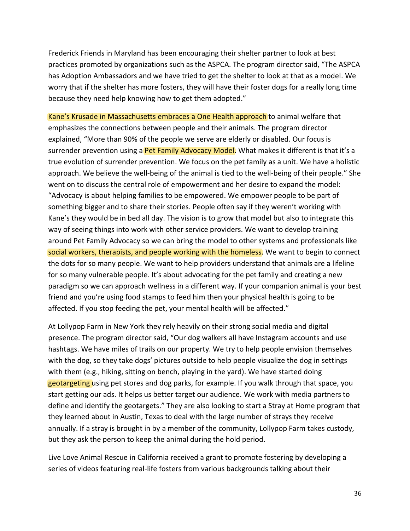Frederick Friends in Maryland has been encouraging their shelter partner to look at best practices promoted by organizations such as the ASPCA. The program director said, "The ASPCA has Adoption Ambassadors and we have tried to get the shelter to look at that as a model. We worry that if the shelter has more fosters, they will have their foster dogs for a really long time because they need help knowing how to get them adopted."

Kane's Krusade in Massachusetts embraces a One Health approach to animal welfare that emphasizes the connections between people and their animals. The program director explained, "More than 90% of the people we serve are elderly or disabled. Our focus is surrender prevention using a **Pet Family Advocacy Model**. What makes it different is that it's a true evolution of surrender prevention. We focus on the pet family as a unit. We have a holistic approach. We believe the well-being of the animal is tied to the well-being of their people." She went on to discuss the central role of empowerment and her desire to expand the model: "Advocacy is about helping families to be empowered. We empower people to be part of something bigger and to share their stories. People often say if they weren't working with Kane's they would be in bed all day. The vision is to grow that model but also to integrate this way of seeing things into work with other service providers. We want to develop training around Pet Family Advocacy so we can bring the model to other systems and professionals like social workers, therapists, and people working with the homeless. We want to begin to connect the dots for so many people. We want to help providers understand that animals are a lifeline for so many vulnerable people. It's about advocating for the pet family and creating a new paradigm so we can approach wellness in a different way. If your companion animal is your best friend and you're using food stamps to feed him then your physical health is going to be affected. If you stop feeding the pet, your mental health will be affected."

At Lollypop Farm in New York they rely heavily on their strong social media and digital presence. The program director said, "Our dog walkers all have Instagram accounts and use hashtags. We have miles of trails on our property. We try to help people envision themselves with the dog, so they take dogs' pictures outside to help people visualize the dog in settings with them (e.g., hiking, sitting on bench, playing in the yard). We have started doing geotargeting using pet stores and dog parks, for example. If you walk through that space, you start getting our ads. It helps us better target our audience. We work with media partners to define and identify the geotargets." They are also looking to start a Stray at Home program that they learned about in Austin, Texas to deal with the large number of strays they receive annually. If a stray is brought in by a member of the community, Lollypop Farm takes custody, but they ask the person to keep the animal during the hold period.

Live Love Animal Rescue in California received a grant to promote fostering by developing a series of videos featuring real-life fosters from various backgrounds talking about their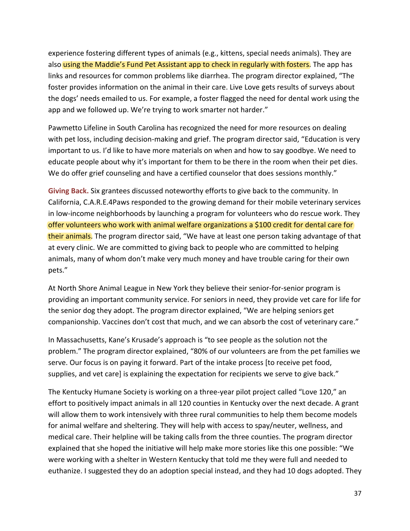experience fostering different types of animals (e.g., kittens, special needs animals). They are also using the Maddie's Fund Pet Assistant app to check in regularly with fosters. The app has links and resources for common problems like diarrhea. The program director explained, "The foster provides information on the animal in their care. Live Love gets results of surveys about the dogs' needs emailed to us. For example, a foster flagged the need for dental work using the app and we followed up. We're trying to work smarter not harder."

Pawmetto Lifeline in South Carolina has recognized the need for more resources on dealing with pet loss, including decision-making and grief. The program director said, "Education is very important to us. I'd like to have more materials on when and how to say goodbye. We need to educate people about why it's important for them to be there in the room when their pet dies. We do offer grief counseling and have a certified counselor that does sessions monthly."

**Giving Back.** Six grantees discussed noteworthy efforts to give back to the community. In California, C.A.R.E.4Paws responded to the growing demand for their mobile veterinary services in low-income neighborhoods by launching a program for volunteers who do rescue work. They offer volunteers who work with animal welfare organizations a \$100 credit for dental care for their animals. The program director said, "We have at least one person taking advantage of that at every clinic. We are committed to giving back to people who are committed to helping animals, many of whom don't make very much money and have trouble caring for their own pets."

At North Shore Animal League in New York they believe their senior-for-senior program is providing an important community service. For seniors in need, they provide vet care for life for the senior dog they adopt. The program director explained, "We are helping seniors get companionship. Vaccines don't cost that much, and we can absorb the cost of veterinary care."

In Massachusetts, Kane's Krusade's approach is "to see people as the solution not the problem." The program director explained, "80% of our volunteers are from the pet families we serve. Our focus is on paying it forward. Part of the intake process [to receive pet food, supplies, and vet care] is explaining the expectation for recipients we serve to give back."

The Kentucky Humane Society is working on a three-year pilot project called "Love 120," an effort to positively impact animals in all 120 counties in Kentucky over the next decade. A grant will allow them to work intensively with three rural communities to help them become models for animal welfare and sheltering. They will help with access to spay/neuter, wellness, and medical care. Their helpline will be taking calls from the three counties. The program director explained that she hoped the initiative will help make more stories like this one possible: "We were working with a shelter in Western Kentucky that told me they were full and needed to euthanize. I suggested they do an adoption special instead, and they had 10 dogs adopted. They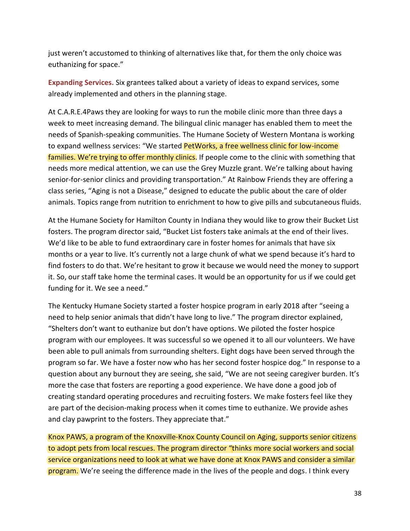just weren't accustomed to thinking of alternatives like that, for them the only choice was euthanizing for space."

**Expanding Services.** Six grantees talked about a variety of ideas to expand services, some already implemented and others in the planning stage.

At C.A.R.E.4Paws they are looking for ways to run the mobile clinic more than three days a week to meet increasing demand. The bilingual clinic manager has enabled them to meet the needs of Spanish-speaking communities. The Humane Society of Western Montana is working to expand wellness services: "We started PetWorks, a free wellness clinic for low-income families. We're trying to offer monthly clinics. If people come to the clinic with something that needs more medical attention, we can use the Grey Muzzle grant. We're talking about having senior-for-senior clinics and providing transportation." At Rainbow Friends they are offering a class series, "Aging is not a Disease," designed to educate the public about the care of older animals. Topics range from nutrition to enrichment to how to give pills and subcutaneous fluids.

At the Humane Society for Hamilton County in Indiana they would like to grow their Bucket List fosters. The program director said, "Bucket List fosters take animals at the end of their lives. We'd like to be able to fund extraordinary care in foster homes for animals that have six months or a year to live. It's currently not a large chunk of what we spend because it's hard to find fosters to do that. We're hesitant to grow it because we would need the money to support it. So, our staff take home the terminal cases. It would be an opportunity for us if we could get funding for it. We see a need."

The Kentucky Humane Society started a foster hospice program in early 2018 after "seeing a need to help senior animals that didn't have long to live." The program director explained, "Shelters don't want to euthanize but don't have options. We piloted the foster hospice program with our employees. It was successful so we opened it to all our volunteers. We have been able to pull animals from surrounding shelters. Eight dogs have been served through the program so far. We have a foster now who has her second foster hospice dog." In response to a question about any burnout they are seeing, she said, "We are not seeing caregiver burden. It's more the case that fosters are reporting a good experience. We have done a good job of creating standard operating procedures and recruiting fosters. We make fosters feel like they are part of the decision-making process when it comes time to euthanize. We provide ashes and clay pawprint to the fosters. They appreciate that."

Knox PAWS, a program of the Knoxville-Knox County Council on Aging, supports senior citizens to adopt pets from local rescues. The program director "thinks more social workers and social service organizations need to look at what we have done at Knox PAWS and consider a similar **program.** We're seeing the difference made in the lives of the people and dogs. I think every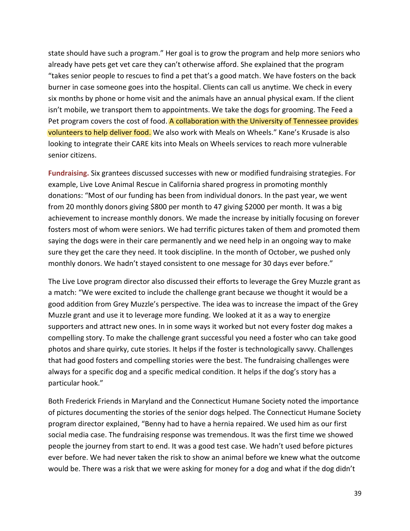state should have such a program." Her goal is to grow the program and help more seniors who already have pets get vet care they can't otherwise afford. She explained that the program "takes senior people to rescues to find a pet that's a good match. We have fosters on the back burner in case someone goes into the hospital. Clients can call us anytime. We check in every six months by phone or home visit and the animals have an annual physical exam. If the client isn't mobile, we transport them to appointments. We take the dogs for grooming. The Feed a Pet program covers the cost of food. A collaboration with the University of Tennessee provides volunteers to help deliver food. We also work with Meals on Wheels." Kane's Krusade is also looking to integrate their CARE kits into Meals on Wheels services to reach more vulnerable senior citizens.

**Fundraising.** Six grantees discussed successes with new or modified fundraising strategies. For example, Live Love Animal Rescue in California shared progress in promoting monthly donations: "Most of our funding has been from individual donors. In the past year, we went from 20 monthly donors giving \$800 per month to 47 giving \$2000 per month. It was a big achievement to increase monthly donors. We made the increase by initially focusing on forever fosters most of whom were seniors. We had terrific pictures taken of them and promoted them saying the dogs were in their care permanently and we need help in an ongoing way to make sure they get the care they need. It took discipline. In the month of October, we pushed only monthly donors. We hadn't stayed consistent to one message for 30 days ever before."

The Live Love program director also discussed their efforts to leverage the Grey Muzzle grant as a match: "We were excited to include the challenge grant because we thought it would be a good addition from Grey Muzzle's perspective. The idea was to increase the impact of the Grey Muzzle grant and use it to leverage more funding. We looked at it as a way to energize supporters and attract new ones. In in some ways it worked but not every foster dog makes a compelling story. To make the challenge grant successful you need a foster who can take good photos and share quirky, cute stories. It helps if the foster is technologically savvy. Challenges that had good fosters and compelling stories were the best. The fundraising challenges were always for a specific dog and a specific medical condition. It helps if the dog's story has a particular hook."

Both Frederick Friends in Maryland and the Connecticut Humane Society noted the importance of pictures documenting the stories of the senior dogs helped. The Connecticut Humane Society program director explained, "Benny had to have a hernia repaired. We used him as our first social media case. The fundraising response was tremendous. It was the first time we showed people the journey from start to end. It was a good test case. We hadn't used before pictures ever before. We had never taken the risk to show an animal before we knew what the outcome would be. There was a risk that we were asking for money for a dog and what if the dog didn't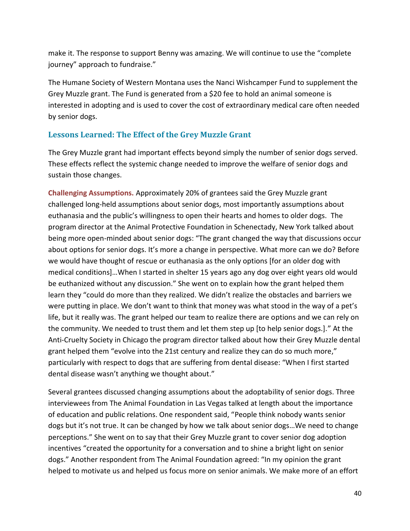make it. The response to support Benny was amazing. We will continue to use the "complete journey" approach to fundraise."

The Humane Society of Western Montana uses the Nanci Wishcamper Fund to supplement the Grey Muzzle grant. The Fund is generated from a \$20 fee to hold an animal someone is interested in adopting and is used to cover the cost of extraordinary medical care often needed by senior dogs.

### **Lessons Learned: The Effect of the Grey Muzzle Grant**

The Grey Muzzle grant had important effects beyond simply the number of senior dogs served. These effects reflect the systemic change needed to improve the welfare of senior dogs and sustain those changes.

**Challenging Assumptions.** Approximately 20% of grantees said the Grey Muzzle grant challenged long-held assumptions about senior dogs, most importantly assumptions about euthanasia and the public's willingness to open their hearts and homes to older dogs. The program director at the Animal Protective Foundation in Schenectady, New York talked about being more open-minded about senior dogs: "The grant changed the way that discussions occur about options for senior dogs. It's more a change in perspective. What more can we do? Before we would have thought of rescue or euthanasia as the only options [for an older dog with medical conditions]…When I started in shelter 15 years ago any dog over eight years old would be euthanized without any discussion." She went on to explain how the grant helped them learn they "could do more than they realized. We didn't realize the obstacles and barriers we were putting in place. We don't want to think that money was what stood in the way of a pet's life, but it really was. The grant helped our team to realize there are options and we can rely on the community. We needed to trust them and let them step up [to help senior dogs.]." At the Anti-Cruelty Society in Chicago the program director talked about how their Grey Muzzle dental grant helped them "evolve into the 21st century and realize they can do so much more," particularly with respect to dogs that are suffering from dental disease: "When I first started dental disease wasn't anything we thought about."

Several grantees discussed changing assumptions about the adoptability of senior dogs. Three interviewees from The Animal Foundation in Las Vegas talked at length about the importance of education and public relations. One respondent said, "People think nobody wants senior dogs but it's not true. It can be changed by how we talk about senior dogs…We need to change perceptions." She went on to say that their Grey Muzzle grant to cover senior dog adoption incentives "created the opportunity for a conversation and to shine a bright light on senior dogs." Another respondent from The Animal Foundation agreed: "In my opinion the grant helped to motivate us and helped us focus more on senior animals. We make more of an effort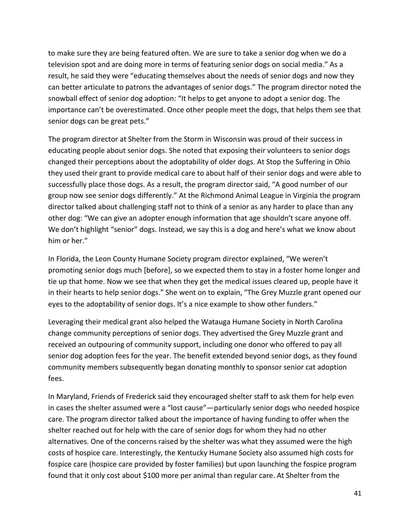to make sure they are being featured often. We are sure to take a senior dog when we do a television spot and are doing more in terms of featuring senior dogs on social media." As a result, he said they were "educating themselves about the needs of senior dogs and now they can better articulate to patrons the advantages of senior dogs." The program director noted the snowball effect of senior dog adoption: "It helps to get anyone to adopt a senior dog. The importance can't be overestimated. Once other people meet the dogs, that helps them see that senior dogs can be great pets."

The program director at Shelter from the Storm in Wisconsin was proud of their success in educating people about senior dogs. She noted that exposing their volunteers to senior dogs changed their perceptions about the adoptability of older dogs. At Stop the Suffering in Ohio they used their grant to provide medical care to about half of their senior dogs and were able to successfully place those dogs. As a result, the program director said, "A good number of our group now see senior dogs differently." At the Richmond Animal League in Virginia the program director talked about challenging staff not to think of a senior as any harder to place than any other dog: "We can give an adopter enough information that age shouldn't scare anyone off. We don't highlight "senior" dogs. Instead, we say this is a dog and here's what we know about him or her."

In Florida, the Leon County Humane Society program director explained, "We weren't promoting senior dogs much [before], so we expected them to stay in a foster home longer and tie up that home. Now we see that when they get the medical issues cleared up, people have it in their hearts to help senior dogs." She went on to explain, "The Grey Muzzle grant opened our eyes to the adoptability of senior dogs. It's a nice example to show other funders."

Leveraging their medical grant also helped the Watauga Humane Society in North Carolina change community perceptions of senior dogs. They advertised the Grey Muzzle grant and received an outpouring of community support, including one donor who offered to pay all senior dog adoption fees for the year. The benefit extended beyond senior dogs, as they found community members subsequently began donating monthly to sponsor senior cat adoption fees.

In Maryland, Friends of Frederick said they encouraged shelter staff to ask them for help even in cases the shelter assumed were a "lost cause"—particularly senior dogs who needed hospice care. The program director talked about the importance of having funding to offer when the shelter reached out for help with the care of senior dogs for whom they had no other alternatives. One of the concerns raised by the shelter was what they assumed were the high costs of hospice care. Interestingly, the Kentucky Humane Society also assumed high costs for fospice care (hospice care provided by foster families) but upon launching the fospice program found that it only cost about \$100 more per animal than regular care. At Shelter from the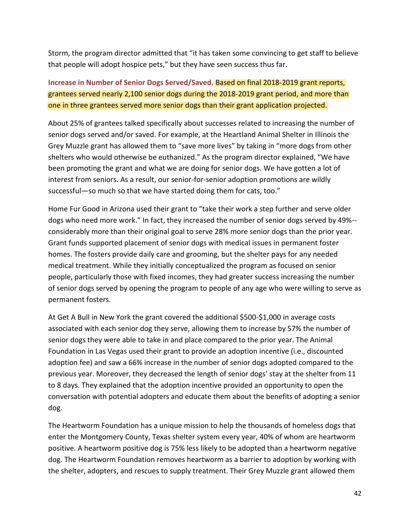Storm, the program director admitted that "it has taken some convincing to get staff to believe that people will adopt hospice pets," but they have seen success thus far.

**Increase in Number of Senior Dogs Served/Saved.** Based on final 2018-2019 grant reports, grantees served nearly 2,100 senior dogs during the 2018-2019 grant period, and more than one in three grantees served more senior dogs than their grant application projected.

About 25% of grantees talked specifically about successes related to increasing the number of senior dogs served and/or saved. For example, at the Heartland Animal Shelter in Illinois the Grey Muzzle grant has allowed them to "save more lives" by taking in "more dogs from other shelters who would otherwise be euthanized." As the program director explained, "We have been promoting the grant and what we are doing for senior dogs. We have gotten a lot of interest from seniors. As a result, our senior-for-senior adoption promotions are wildly successful—so much so that we have started doing them for cats, too."

Home Fur Good in Arizona used their grant to "take their work a step further and serve older dogs who need more work." In fact, they increased the number of senior dogs served by 49%- considerably more than their original goal to serve 28% more senior dogs than the prior year. Grant funds supported placement of senior dogs with medical issues in permanent foster homes. The fosters provide daily care and grooming, but the shelter pays for any needed medical treatment. While they initially conceptualized the program as focused on senior people, particularly those with fixed incomes, they had greater success increasing the number of senior dogs served by opening the program to people of any age who were willing to serve as permanent fosters.

At Get A Bull in New York the grant covered the additional \$500-\$1,000 in average costs associated with each senior dog they serve, allowing them to increase by 57% the number of senior dogs they were able to take in and place compared to the prior year. The Animal Foundation in Las Vegas used their grant to provide an adoption incentive (i.e., discounted adoption fee) and saw a 66% increase in the number of senior dogs adopted compared to the previous year. Moreover, they decreased the length of senior dogs' stay at the shelter from 11 to 8 days. They explained that the adoption incentive provided an opportunity to open the conversation with potential adopters and educate them about the benefits of adopting a senior dog.

The Heartworm Foundation has a unique mission to help the thousands of homeless dogs that enter the Montgomery County, Texas shelter system every year, 40% of whom are heartworm positive. A heartworm positive dog is 75% less likely to be adopted than a heartworm negative dog. The Heartworm Foundation removes heartworm as a barrier to adoption by working with the shelter, adopters, and rescues to supply treatment. Their Grey Muzzle grant allowed them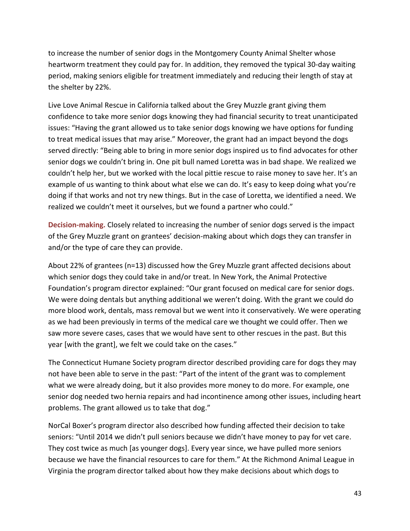to increase the number of senior dogs in the Montgomery County Animal Shelter whose heartworm treatment they could pay for. In addition, they removed the typical 30-day waiting period, making seniors eligible for treatment immediately and reducing their length of stay at the shelter by 22%.

Live Love Animal Rescue in California talked about the Grey Muzzle grant giving them confidence to take more senior dogs knowing they had financial security to treat unanticipated issues: "Having the grant allowed us to take senior dogs knowing we have options for funding to treat medical issues that may arise." Moreover, the grant had an impact beyond the dogs served directly: "Being able to bring in more senior dogs inspired us to find advocates for other senior dogs we couldn't bring in. One pit bull named Loretta was in bad shape. We realized we couldn't help her, but we worked with the local pittie rescue to raise money to save her. It's an example of us wanting to think about what else we can do. It's easy to keep doing what you're doing if that works and not try new things. But in the case of Loretta, we identified a need. We realized we couldn't meet it ourselves, but we found a partner who could."

**Decision-making.** Closely related to increasing the number of senior dogs served is the impact of the Grey Muzzle grant on grantees' decision-making about which dogs they can transfer in and/or the type of care they can provide.

About 22% of grantees (n=13) discussed how the Grey Muzzle grant affected decisions about which senior dogs they could take in and/or treat. In New York, the Animal Protective Foundation's program director explained: "Our grant focused on medical care for senior dogs. We were doing dentals but anything additional we weren't doing. With the grant we could do more blood work, dentals, mass removal but we went into it conservatively. We were operating as we had been previously in terms of the medical care we thought we could offer. Then we saw more severe cases, cases that we would have sent to other rescues in the past. But this year [with the grant], we felt we could take on the cases."

The Connecticut Humane Society program director described providing care for dogs they may not have been able to serve in the past: "Part of the intent of the grant was to complement what we were already doing, but it also provides more money to do more. For example, one senior dog needed two hernia repairs and had incontinence among other issues, including heart problems. The grant allowed us to take that dog."

NorCal Boxer's program director also described how funding affected their decision to take seniors: "Until 2014 we didn't pull seniors because we didn't have money to pay for vet care. They cost twice as much [as younger dogs]. Every year since, we have pulled more seniors because we have the financial resources to care for them." At the Richmond Animal League in Virginia the program director talked about how they make decisions about which dogs to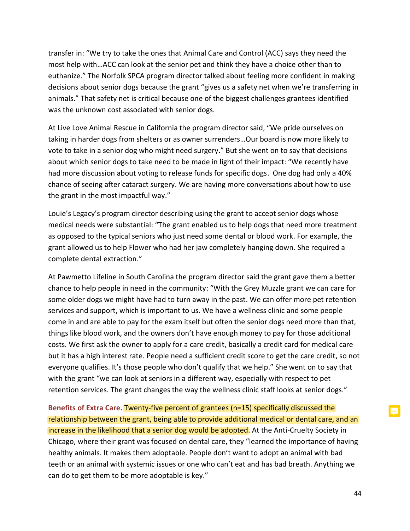transfer in: "We try to take the ones that Animal Care and Control (ACC) says they need the most help with…ACC can look at the senior pet and think they have a choice other than to euthanize." The Norfolk SPCA program director talked about feeling more confident in making decisions about senior dogs because the grant "gives us a safety net when we're transferring in animals." That safety net is critical because one of the biggest challenges grantees identified was the unknown cost associated with senior dogs.

At Live Love Animal Rescue in California the program director said, "We pride ourselves on taking in harder dogs from shelters or as owner surrenders…Our board is now more likely to vote to take in a senior dog who might need surgery." But she went on to say that decisions about which senior dogs to take need to be made in light of their impact: "We recently have had more discussion about voting to release funds for specific dogs. One dog had only a 40% chance of seeing after cataract surgery. We are having more conversations about how to use the grant in the most impactful way."

Louie's Legacy's program director describing using the grant to accept senior dogs whose medical needs were substantial: "The grant enabled us to help dogs that need more treatment as opposed to the typical seniors who just need some dental or blood work. For example, the grant allowed us to help Flower who had her jaw completely hanging down. She required a complete dental extraction."

At Pawmetto Lifeline in South Carolina the program director said the grant gave them a better chance to help people in need in the community: "With the Grey Muzzle grant we can care for some older dogs we might have had to turn away in the past. We can offer more pet retention services and support, which is important to us. We have a wellness clinic and some people come in and are able to pay for the exam itself but often the senior dogs need more than that, things like blood work, and the owners don't have enough money to pay for those additional costs. We first ask the owner to apply for a care credit, basically a credit card for medical care but it has a high interest rate. People need a sufficient credit score to get the care credit, so not everyone qualifies. It's those people who don't qualify that we help." She went on to say that with the grant "we can look at seniors in a different way, especially with respect to pet retention services. The grant changes the way the wellness clinic staff looks at senior dogs."

**Benefits of Extra Care.** Twenty-five percent of grantees (n=15) specifically discussed the relationship between the grant, being able to provide additional medical or dental care, and an increase in the likelihood that a senior dog would be adopted. At the Anti-Cruelty Society in Chicago, where their grant was focused on dental care, they "learned the importance of having healthy animals. It makes them adoptable. People don't want to adopt an animal with bad teeth or an animal with systemic issues or one who can't eat and has bad breath. Anything we can do to get them to be more adoptable is key."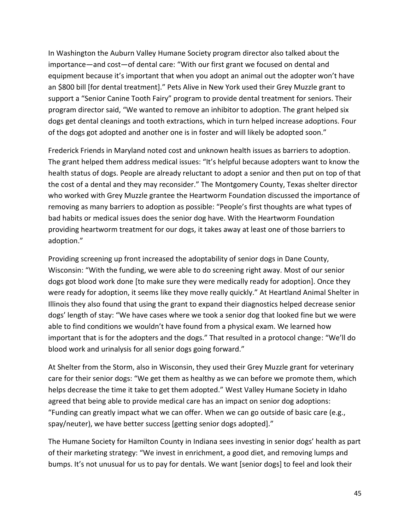In Washington the Auburn Valley Humane Society program director also talked about the importance—and cost—of dental care: "With our first grant we focused on dental and equipment because it's important that when you adopt an animal out the adopter won't have an \$800 bill [for dental treatment]." Pets Alive in New York used their Grey Muzzle grant to support a "Senior Canine Tooth Fairy" program to provide dental treatment for seniors. Their program director said, "We wanted to remove an inhibitor to adoption. The grant helped six dogs get dental cleanings and tooth extractions, which in turn helped increase adoptions. Four of the dogs got adopted and another one is in foster and will likely be adopted soon."

Frederick Friends in Maryland noted cost and unknown health issues as barriers to adoption. The grant helped them address medical issues: "It's helpful because adopters want to know the health status of dogs. People are already reluctant to adopt a senior and then put on top of that the cost of a dental and they may reconsider." The Montgomery County, Texas shelter director who worked with Grey Muzzle grantee the Heartworm Foundation discussed the importance of removing as many barriers to adoption as possible: "People's first thoughts are what types of bad habits or medical issues does the senior dog have. With the Heartworm Foundation providing heartworm treatment for our dogs, it takes away at least one of those barriers to adoption."

Providing screening up front increased the adoptability of senior dogs in Dane County, Wisconsin: "With the funding, we were able to do screening right away. Most of our senior dogs got blood work done [to make sure they were medically ready for adoption]. Once they were ready for adoption, it seems like they move really quickly." At Heartland Animal Shelter in Illinois they also found that using the grant to expand their diagnostics helped decrease senior dogs' length of stay: "We have cases where we took a senior dog that looked fine but we were able to find conditions we wouldn't have found from a physical exam. We learned how important that is for the adopters and the dogs." That resulted in a protocol change: "We'll do blood work and urinalysis for all senior dogs going forward."

At Shelter from the Storm, also in Wisconsin, they used their Grey Muzzle grant for veterinary care for their senior dogs: "We get them as healthy as we can before we promote them, which helps decrease the time it take to get them adopted." West Valley Humane Society in Idaho agreed that being able to provide medical care has an impact on senior dog adoptions: "Funding can greatly impact what we can offer. When we can go outside of basic care (e.g., spay/neuter), we have better success [getting senior dogs adopted]."

The Humane Society for Hamilton County in Indiana sees investing in senior dogs' health as part of their marketing strategy: "We invest in enrichment, a good diet, and removing lumps and bumps. It's not unusual for us to pay for dentals. We want [senior dogs] to feel and look their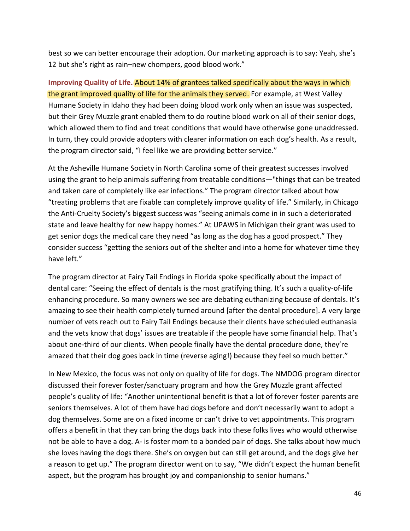best so we can better encourage their adoption. Our marketing approach is to say: Yeah, she's 12 but she's right as rain–new chompers, good blood work."

**Improving Quality of Life.** About 14% of grantees talked specifically about the ways in which the grant improved quality of life for the animals they served. For example, at West Valley Humane Society in Idaho they had been doing blood work only when an issue was suspected, but their Grey Muzzle grant enabled them to do routine blood work on all of their senior dogs, which allowed them to find and treat conditions that would have otherwise gone unaddressed. In turn, they could provide adopters with clearer information on each dog's health. As a result, the program director said, "I feel like we are providing better service."

At the Asheville Humane Society in North Carolina some of their greatest successes involved using the grant to help animals suffering from treatable conditions—"things that can be treated and taken care of completely like ear infections." The program director talked about how "treating problems that are fixable can completely improve quality of life." Similarly, in Chicago the Anti-Cruelty Society's biggest success was "seeing animals come in in such a deteriorated state and leave healthy for new happy homes." At UPAWS in Michigan their grant was used to get senior dogs the medical care they need "as long as the dog has a good prospect." They consider success "getting the seniors out of the shelter and into a home for whatever time they have left."

The program director at Fairy Tail Endings in Florida spoke specifically about the impact of dental care: "Seeing the effect of dentals is the most gratifying thing. It's such a quality-of-life enhancing procedure. So many owners we see are debating euthanizing because of dentals. It's amazing to see their health completely turned around [after the dental procedure]. A very large number of vets reach out to Fairy Tail Endings because their clients have scheduled euthanasia and the vets know that dogs' issues are treatable if the people have some financial help. That's about one-third of our clients. When people finally have the dental procedure done, they're amazed that their dog goes back in time (reverse aging!) because they feel so much better."

In New Mexico, the focus was not only on quality of life for dogs. The NMDOG program director discussed their forever foster/sanctuary program and how the Grey Muzzle grant affected people's quality of life: "Another unintentional benefit is that a lot of forever foster parents are seniors themselves. A lot of them have had dogs before and don't necessarily want to adopt a dog themselves. Some are on a fixed income or can't drive to vet appointments. This program offers a benefit in that they can bring the dogs back into these folks lives who would otherwise not be able to have a dog. A- is foster mom to a bonded pair of dogs. She talks about how much she loves having the dogs there. She's on oxygen but can still get around, and the dogs give her a reason to get up." The program director went on to say, "We didn't expect the human benefit aspect, but the program has brought joy and companionship to senior humans."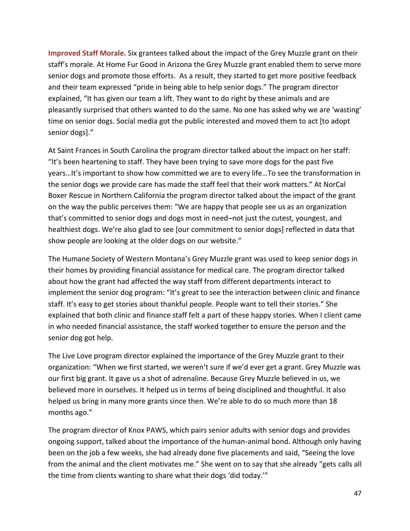**Improved Staff Morale.** Six grantees talked about the impact of the Grey Muzzle grant on their staff's morale. At Home Fur Good in Arizona the Grey Muzzle grant enabled them to serve more senior dogs and promote those efforts. As a result, they started to get more positive feedback and their team expressed "pride in being able to help senior dogs." The program director explained, "It has given our team a lift. They want to do right by these animals and are pleasantly surprised that others wanted to do the same. No one has asked why we are 'wasting' time on senior dogs. Social media got the public interested and moved them to act [to adopt senior dogs]."

At Saint Frances in South Carolina the program director talked about the impact on her staff: "It's been heartening to staff. They have been trying to save more dogs for the past five years…It's important to show how committed we are to every life…To see the transformation in the senior dogs we provide care has made the staff feel that their work matters." At NorCal Boxer Rescue in Northern California the program director talked about the impact of the grant on the way the public perceives them: "We are happy that people see us as an organization that's committed to senior dogs and dogs most in need–not just the cutest, youngest, and healthiest dogs. We're also glad to see [our commitment to senior dogs] reflected in data that show people are looking at the older dogs on our website."

The Humane Society of Western Montana's Grey Muzzle grant was used to keep senior dogs in their homes by providing financial assistance for medical care. The program director talked about how the grant had affected the way staff from different departments interact to implement the senior dog program: "It's great to see the interaction between clinic and finance staff. It's easy to get stories about thankful people. People want to tell their stories." She explained that both clinic and finance staff felt a part of these happy stories. When I client came in who needed financial assistance, the staff worked together to ensure the person and the senior dog got help.

The Live Love program director explained the importance of the Grey Muzzle grant to their organization: "When we first started, we weren't sure if we'd ever get a grant. Grey Muzzle was our first big grant. It gave us a shot of adrenaline. Because Grey Muzzle believed in us, we believed more in ourselves. It helped us in terms of being disciplined and thoughtful. It also helped us bring in many more grants since then. We're able to do so much more than 18 months ago."

The program director of Knox PAWS, which pairs senior adults with senior dogs and provides ongoing support, talked about the importance of the human-animal bond. Although only having been on the job a few weeks, she had already done five placements and said, "Seeing the love from the animal and the client motivates me." She went on to say that she already "gets calls all the time from clients wanting to share what their dogs 'did today.'"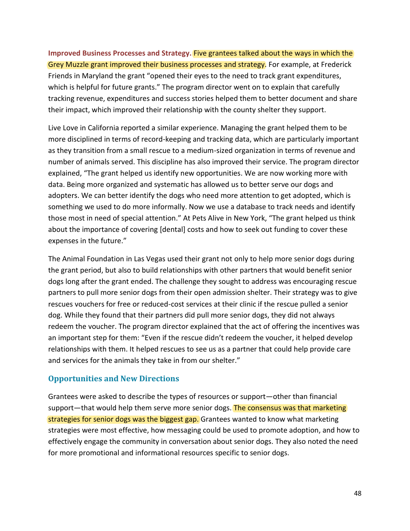**Improved Business Processes and Strategy.** Five grantees talked about the ways in which the Grey Muzzle grant improved their business processes and strategy. For example, at Frederick Friends in Maryland the grant "opened their eyes to the need to track grant expenditures, which is helpful for future grants." The program director went on to explain that carefully tracking revenue, expenditures and success stories helped them to better document and share their impact, which improved their relationship with the county shelter they support.

Live Love in California reported a similar experience. Managing the grant helped them to be more disciplined in terms of record-keeping and tracking data, which are particularly important as they transition from a small rescue to a medium-sized organization in terms of revenue and number of animals served. This discipline has also improved their service. The program director explained, "The grant helped us identify new opportunities. We are now working more with data. Being more organized and systematic has allowed us to better serve our dogs and adopters. We can better identify the dogs who need more attention to get adopted, which is something we used to do more informally. Now we use a database to track needs and identify those most in need of special attention." At Pets Alive in New York, "The grant helped us think about the importance of covering [dental] costs and how to seek out funding to cover these expenses in the future."

The Animal Foundation in Las Vegas used their grant not only to help more senior dogs during the grant period, but also to build relationships with other partners that would benefit senior dogs long after the grant ended. The challenge they sought to address was encouraging rescue partners to pull more senior dogs from their open admission shelter. Their strategy was to give rescues vouchers for free or reduced-cost services at their clinic if the rescue pulled a senior dog. While they found that their partners did pull more senior dogs, they did not always redeem the voucher. The program director explained that the act of offering the incentives was an important step for them: "Even if the rescue didn't redeem the voucher, it helped develop relationships with them. It helped rescues to see us as a partner that could help provide care and services for the animals they take in from our shelter."

### **Opportunities and New Directions**

Grantees were asked to describe the types of resources or support—other than financial support—that would help them serve more senior dogs. The consensus was that marketing strategies for senior dogs was the biggest gap. Grantees wanted to know what marketing strategies were most effective, how messaging could be used to promote adoption, and how to effectively engage the community in conversation about senior dogs. They also noted the need for more promotional and informational resources specific to senior dogs.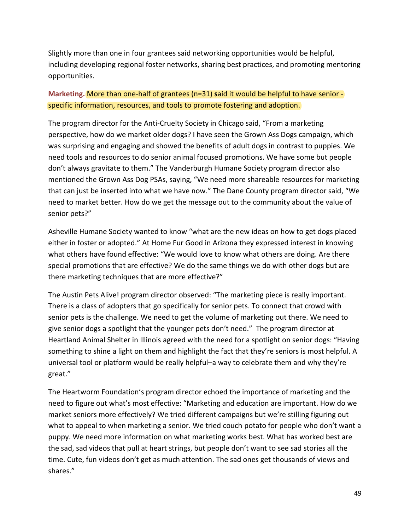Slightly more than one in four grantees said networking opportunities would be helpful, including developing regional foster networks, sharing best practices, and promoting mentoring opportunities.

### **Marketing.** More than one-half of grantees (n=31) **s**aid it would be helpful to have senior specific information, resources, and tools to promote fostering and adoption.

The program director for the Anti-Cruelty Society in Chicago said, "From a marketing perspective, how do we market older dogs? I have seen the Grown Ass Dogs campaign, which was surprising and engaging and showed the benefits of adult dogs in contrast to puppies. We need tools and resources to do senior animal focused promotions. We have some but people don't always gravitate to them." The Vanderburgh Humane Society program director also mentioned the Grown Ass Dog PSAs, saying, "We need more shareable resources for marketing that can just be inserted into what we have now." The Dane County program director said, "We need to market better. How do we get the message out to the community about the value of senior pets?"

Asheville Humane Society wanted to know "what are the new ideas on how to get dogs placed either in foster or adopted." At Home Fur Good in Arizona they expressed interest in knowing what others have found effective: "We would love to know what others are doing. Are there special promotions that are effective? We do the same things we do with other dogs but are there marketing techniques that are more effective?"

The Austin Pets Alive! program director observed: "The marketing piece is really important. There is a class of adopters that go specifically for senior pets. To connect that crowd with senior pets is the challenge. We need to get the volume of marketing out there. We need to give senior dogs a spotlight that the younger pets don't need." The program director at Heartland Animal Shelter in Illinois agreed with the need for a spotlight on senior dogs: "Having something to shine a light on them and highlight the fact that they're seniors is most helpful. A universal tool or platform would be really helpful–a way to celebrate them and why they're great."

The Heartworm Foundation's program director echoed the importance of marketing and the need to figure out what's most effective: "Marketing and education are important. How do we market seniors more effectively? We tried different campaigns but we're stilling figuring out what to appeal to when marketing a senior. We tried couch potato for people who don't want a puppy. We need more information on what marketing works best. What has worked best are the sad, sad videos that pull at heart strings, but people don't want to see sad stories all the time. Cute, fun videos don't get as much attention. The sad ones get thousands of views and shares."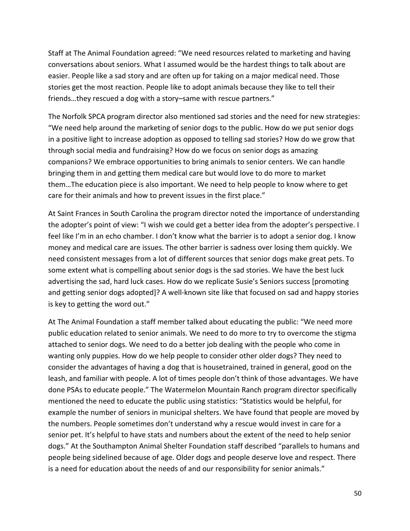Staff at The Animal Foundation agreed: "We need resources related to marketing and having conversations about seniors. What I assumed would be the hardest things to talk about are easier. People like a sad story and are often up for taking on a major medical need. Those stories get the most reaction. People like to adopt animals because they like to tell their friends…they rescued a dog with a story–same with rescue partners."

The Norfolk SPCA program director also mentioned sad stories and the need for new strategies: "We need help around the marketing of senior dogs to the public. How do we put senior dogs in a positive light to increase adoption as opposed to telling sad stories? How do we grow that through social media and fundraising? How do we focus on senior dogs as amazing companions? We embrace opportunities to bring animals to senior centers. We can handle bringing them in and getting them medical care but would love to do more to market them…The education piece is also important. We need to help people to know where to get care for their animals and how to prevent issues in the first place."

At Saint Frances in South Carolina the program director noted the importance of understanding the adopter's point of view: "I wish we could get a better idea from the adopter's perspective. I feel like I'm in an echo chamber. I don't know what the barrier is to adopt a senior dog. I know money and medical care are issues. The other barrier is sadness over losing them quickly. We need consistent messages from a lot of different sources that senior dogs make great pets. To some extent what is compelling about senior dogs is the sad stories. We have the best luck advertising the sad, hard luck cases. How do we replicate Susie's Seniors success [promoting and getting senior dogs adopted]? A well-known site like that focused on sad and happy stories is key to getting the word out."

At The Animal Foundation a staff member talked about educating the public: "We need more public education related to senior animals. We need to do more to try to overcome the stigma attached to senior dogs. We need to do a better job dealing with the people who come in wanting only puppies. How do we help people to consider other older dogs? They need to consider the advantages of having a dog that is housetrained, trained in general, good on the leash, and familiar with people. A lot of times people don't think of those advantages. We have done PSAs to educate people." The Watermelon Mountain Ranch program director specifically mentioned the need to educate the public using statistics: "Statistics would be helpful, for example the number of seniors in municipal shelters. We have found that people are moved by the numbers. People sometimes don't understand why a rescue would invest in care for a senior pet. It's helpful to have stats and numbers about the extent of the need to help senior dogs." At the Southampton Animal Shelter Foundation staff described "parallels to humans and people being sidelined because of age. Older dogs and people deserve love and respect. There is a need for education about the needs of and our responsibility for senior animals."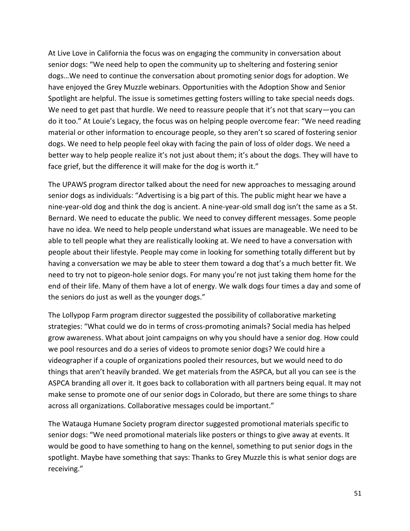At Live Love in California the focus was on engaging the community in conversation about senior dogs: "We need help to open the community up to sheltering and fostering senior dogs…We need to continue the conversation about promoting senior dogs for adoption. We have enjoyed the Grey Muzzle webinars. Opportunities with the Adoption Show and Senior Spotlight are helpful. The issue is sometimes getting fosters willing to take special needs dogs. We need to get past that hurdle. We need to reassure people that it's not that scary-you can do it too." At Louie's Legacy, the focus was on helping people overcome fear: "We need reading material or other information to encourage people, so they aren't so scared of fostering senior dogs. We need to help people feel okay with facing the pain of loss of older dogs. We need a better way to help people realize it's not just about them; it's about the dogs. They will have to face grief, but the difference it will make for the dog is worth it."

The UPAWS program director talked about the need for new approaches to messaging around senior dogs as individuals: "Advertising is a big part of this. The public might hear we have a nine-year-old dog and think the dog is ancient. A nine-year-old small dog isn't the same as a St. Bernard. We need to educate the public. We need to convey different messages. Some people have no idea. We need to help people understand what issues are manageable. We need to be able to tell people what they are realistically looking at. We need to have a conversation with people about their lifestyle. People may come in looking for something totally different but by having a conversation we may be able to steer them toward a dog that's a much better fit. We need to try not to pigeon-hole senior dogs. For many you're not just taking them home for the end of their life. Many of them have a lot of energy. We walk dogs four times a day and some of the seniors do just as well as the younger dogs."

The Lollypop Farm program director suggested the possibility of collaborative marketing strategies: "What could we do in terms of cross-promoting animals? Social media has helped grow awareness. What about joint campaigns on why you should have a senior dog. How could we pool resources and do a series of videos to promote senior dogs? We could hire a videographer if a couple of organizations pooled their resources, but we would need to do things that aren't heavily branded. We get materials from the ASPCA, but all you can see is the ASPCA branding all over it. It goes back to collaboration with all partners being equal. It may not make sense to promote one of our senior dogs in Colorado, but there are some things to share across all organizations. Collaborative messages could be important."

The Watauga Humane Society program director suggested promotional materials specific to senior dogs: "We need promotional materials like posters or things to give away at events. It would be good to have something to hang on the kennel, something to put senior dogs in the spotlight. Maybe have something that says: Thanks to Grey Muzzle this is what senior dogs are receiving."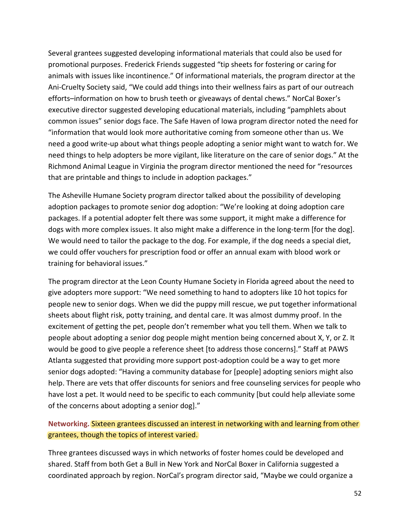Several grantees suggested developing informational materials that could also be used for promotional purposes. Frederick Friends suggested "tip sheets for fostering or caring for animals with issues like incontinence." Of informational materials, the program director at the Ani-Cruelty Society said, "We could add things into their wellness fairs as part of our outreach efforts–information on how to brush teeth or giveaways of dental chews." NorCal Boxer's executive director suggested developing educational materials, including "pamphlets about common issues" senior dogs face. The Safe Haven of Iowa program director noted the need for "information that would look more authoritative coming from someone other than us. We need a good write-up about what things people adopting a senior might want to watch for. We need things to help adopters be more vigilant, like literature on the care of senior dogs." At the Richmond Animal League in Virginia the program director mentioned the need for "resources that are printable and things to include in adoption packages."

The Asheville Humane Society program director talked about the possibility of developing adoption packages to promote senior dog adoption: "We're looking at doing adoption care packages. If a potential adopter felt there was some support, it might make a difference for dogs with more complex issues. It also might make a difference in the long-term [for the dog]. We would need to tailor the package to the dog. For example, if the dog needs a special diet, we could offer vouchers for prescription food or offer an annual exam with blood work or training for behavioral issues."

The program director at the Leon County Humane Society in Florida agreed about the need to give adopters more support: "We need something to hand to adopters like 10 hot topics for people new to senior dogs. When we did the puppy mill rescue, we put together informational sheets about flight risk, potty training, and dental care. It was almost dummy proof. In the excitement of getting the pet, people don't remember what you tell them. When we talk to people about adopting a senior dog people might mention being concerned about X, Y, or Z. It would be good to give people a reference sheet [to address those concerns]." Staff at PAWS Atlanta suggested that providing more support post-adoption could be a way to get more senior dogs adopted: "Having a community database for [people] adopting seniors might also help. There are vets that offer discounts for seniors and free counseling services for people who have lost a pet. It would need to be specific to each community [but could help alleviate some of the concerns about adopting a senior dog]."

### **Networking.** Sixteen grantees discussed an interest in networking with and learning from other grantees, though the topics of interest varied.

Three grantees discussed ways in which networks of foster homes could be developed and shared. Staff from both Get a Bull in New York and NorCal Boxer in California suggested a coordinated approach by region. NorCal's program director said, "Maybe we could organize a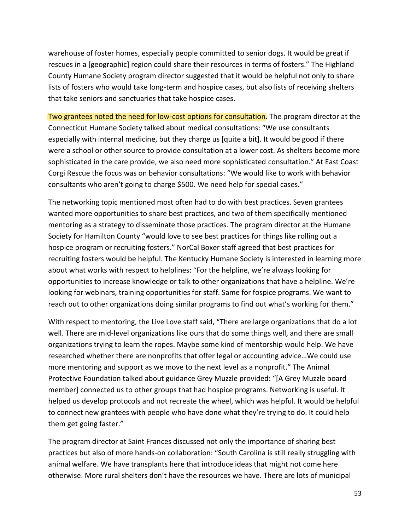warehouse of foster homes, especially people committed to senior dogs. It would be great if rescues in a [geographic] region could share their resources in terms of fosters." The Highland County Humane Society program director suggested that it would be helpful not only to share lists of fosters who would take long-term and hospice cases, but also lists of receiving shelters that take seniors and sanctuaries that take hospice cases.

Two grantees noted the need for low-cost options for consultation. The program director at the Connecticut Humane Society talked about medical consultations: "We use consultants especially with internal medicine, but they charge us [quite a bit]. It would be good if there were a school or other source to provide consultation at a lower cost. As shelters become more sophisticated in the care provide, we also need more sophisticated consultation." At East Coast Corgi Rescue the focus was on behavior consultations: "We would like to work with behavior consultants who aren't going to charge \$500. We need help for special cases."

The networking topic mentioned most often had to do with best practices. Seven grantees wanted more opportunities to share best practices, and two of them specifically mentioned mentoring as a strategy to disseminate those practices. The program director at the Humane Society for Hamilton County "would love to see best practices for things like rolling out a hospice program or recruiting fosters." NorCal Boxer staff agreed that best practices for recruiting fosters would be helpful. The Kentucky Humane Society is interested in learning more about what works with respect to helplines: "For the helpline, we're always looking for opportunities to increase knowledge or talk to other organizations that have a helpline. We're looking for webinars, training opportunities for staff. Same for fospice programs. We want to reach out to other organizations doing similar programs to find out what's working for them."

With respect to mentoring, the Live Love staff said, "There are large organizations that do a lot well. There are mid-level organizations like ours that do some things well, and there are small organizations trying to learn the ropes. Maybe some kind of mentorship would help. We have researched whether there are nonprofits that offer legal or accounting advice…We could use more mentoring and support as we move to the next level as a nonprofit." The Animal Protective Foundation talked about guidance Grey Muzzle provided: "[A Grey Muzzle board member] connected us to other groups that had hospice programs. Networking is useful. It helped us develop protocols and not recreate the wheel, which was helpful. It would be helpful to connect new grantees with people who have done what they're trying to do. It could help them get going faster."

The program director at Saint Frances discussed not only the importance of sharing best practices but also of more hands-on collaboration: "South Carolina is still really struggling with animal welfare. We have transplants here that introduce ideas that might not come here otherwise. More rural shelters don't have the resources we have. There are lots of municipal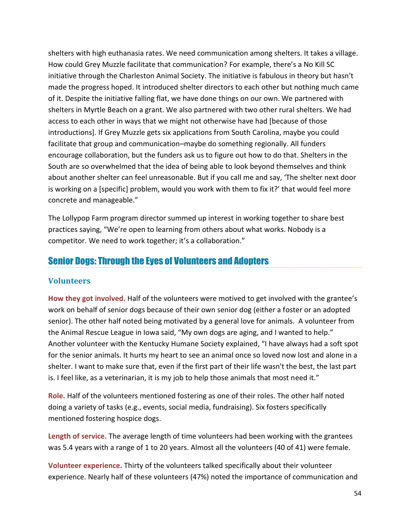shelters with high euthanasia rates. We need communication among shelters. It takes a village. How could Grey Muzzle facilitate that communication? For example, there's a No Kill SC initiative through the Charleston Animal Society. The initiative is fabulous in theory but hasn't made the progress hoped. It introduced shelter directors to each other but nothing much came of it. Despite the initiative falling flat, we have done things on our own. We partnered with shelters in Myrtle Beach on a grant. We also partnered with two other rural shelters. We had access to each other in ways that we might not otherwise have had [because of those introductions]. If Grey Muzzle gets six applications from South Carolina, maybe you could facilitate that group and communication–maybe do something regionally. All funders encourage collaboration, but the funders ask us to figure out how to do that. Shelters in the South are so overwhelmed that the idea of being able to look beyond themselves and think about another shelter can feel unreasonable. But if you call me and say, 'The shelter next door is working on a [specific] problem, would you work with them to fix it?' that would feel more concrete and manageable."

The Lollypop Farm program director summed up interest in working together to share best practices saying, "We're open to learning from others about what works. Nobody is a competitor. We need to work together; it's a collaboration."

## Senior Dogs: Through the Eyes of Volunteers and Adopters

### **Volunteers**

**How they got involved.** Half of the volunteers were motived to get involved with the grantee's work on behalf of senior dogs because of their own senior dog (either a foster or an adopted senior). The other half noted being motivated by a general love for animals. A volunteer from the Animal Rescue League in Iowa said, "My own dogs are aging, and I wanted to help." Another volunteer with the Kentucky Humane Society explained, "I have always had a soft spot for the senior animals. It hurts my heart to see an animal once so loved now lost and alone in a shelter. I want to make sure that, even if the first part of their life wasn't the best, the last part is. I feel like, as a veterinarian, it is my job to help those animals that most need it."

**Role.** Half of the volunteers mentioned fostering as one of their roles. The other half noted doing a variety of tasks (e.g., events, social media, fundraising). Six fosters specifically mentioned fostering hospice dogs.

**Length of service.** The average length of time volunteers had been working with the grantees was 5.4 years with a range of 1 to 20 years. Almost all the volunteers (40 of 41) were female.

**Volunteer experience.** Thirty of the volunteers talked specifically about their volunteer experience. Nearly half of these volunteers (47%) noted the importance of communication and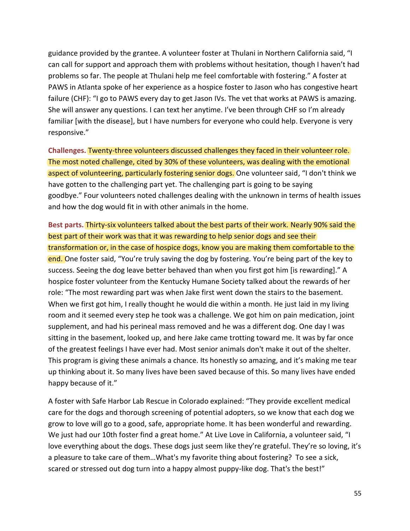guidance provided by the grantee. A volunteer foster at Thulani in Northern California said, "I can call for support and approach them with problems without hesitation, though I haven't had problems so far. The people at Thulani help me feel comfortable with fostering." A foster at PAWS in Atlanta spoke of her experience as a hospice foster to Jason who has congestive heart failure (CHF): "I go to PAWS every day to get Jason IVs. The vet that works at PAWS is amazing. She will answer any questions. I can text her anytime. I've been through CHF so I'm already familiar [with the disease], but I have numbers for everyone who could help. Everyone is very responsive."

**Challenges.** Twenty-three volunteers discussed challenges they faced in their volunteer role. The most noted challenge, cited by 30% of these volunteers, was dealing with the emotional aspect of volunteering, particularly fostering senior dogs. One volunteer said, "I don't think we have gotten to the challenging part yet. The challenging part is going to be saying goodbye." Four volunteers noted challenges dealing with the unknown in terms of health issues and how the dog would fit in with other animals in the home.

**Best parts.** Thirty-six volunteers talked about the best parts of their work. Nearly 90% said the best part of their work was that it was rewarding to help senior dogs and see their transformation or, in the case of hospice dogs, know you are making them comfortable to the end. One foster said, "You're truly saving the dog by fostering. You're being part of the key to success. Seeing the dog leave better behaved than when you first got him [is rewarding]." A hospice foster volunteer from the Kentucky Humane Society talked about the rewards of her role: "The most rewarding part was when Jake first went down the stairs to the basement. When we first got him, I really thought he would die within a month. He just laid in my living room and it seemed every step he took was a challenge. We got him on pain medication, joint supplement, and had his perineal mass removed and he was a different dog. One day I was sitting in the basement, looked up, and here Jake came trotting toward me. It was by far once of the greatest feelings I have ever had. Most senior animals don't make it out of the shelter. This program is giving these animals a chance. Its honestly so amazing, and it's making me tear up thinking about it. So many lives have been saved because of this. So many lives have ended happy because of it."

A foster with Safe Harbor Lab Rescue in Colorado explained: "They provide excellent medical care for the dogs and thorough screening of potential adopters, so we know that each dog we grow to love will go to a good, safe, appropriate home. It has been wonderful and rewarding. We just had our 10th foster find a great home." At Live Love in California, a volunteer said, "I love everything about the dogs. These dogs just seem like they're grateful. They're so loving, it's a pleasure to take care of them…What's my favorite thing about fostering? To see a sick, scared or stressed out dog turn into a happy almost puppy-like dog. That's the best!"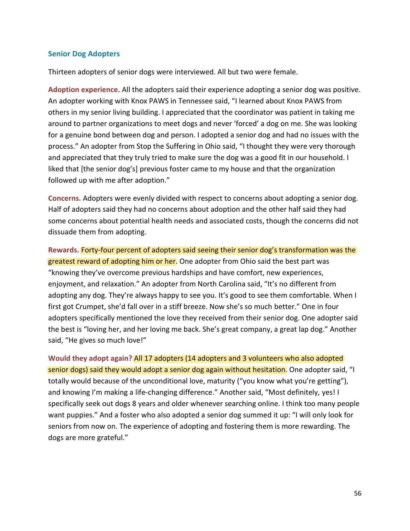#### **Senior Dog Adopters**

Thirteen adopters of senior dogs were interviewed. All but two were female.

**Adoption experience.** All the adopters said their experience adopting a senior dog was positive. An adopter working with Knox PAWS in Tennessee said, "I learned about Knox PAWS from others in my senior living building. I appreciated that the coordinator was patient in taking me around to partner organizations to meet dogs and never 'forced' a dog on me. She was looking for a genuine bond between dog and person. I adopted a senior dog and had no issues with the process." An adopter from Stop the Suffering in Ohio said, "I thought they were very thorough and appreciated that they truly tried to make sure the dog was a good fit in our household. I liked that [the senior dog's] previous foster came to my house and that the organization followed up with me after adoption."

**Concerns.** Adopters were evenly divided with respect to concerns about adopting a senior dog. Half of adopters said they had no concerns about adoption and the other half said they had some concerns about potential health needs and associated costs, though the concerns did not dissuade them from adopting.

**Rewards.** Forty-four percent of adopters said seeing their senior dog's transformation was the greatest reward of adopting him or her. One adopter from Ohio said the best part was "knowing they've overcome previous hardships and have comfort, new experiences, enjoyment, and relaxation." An adopter from North Carolina said, "It's no different from adopting any dog. They're always happy to see you. It's good to see them comfortable. When I first got Crumpet, she'd fall over in a stiff breeze. Now she's so much better." One in four adopters specifically mentioned the love they received from their senior dog. One adopter said the best is "loving her, and her loving me back. She's great company, a great lap dog." Another said, "He gives so much love!"

**Would they adopt again?** All 17 adopters (14 adopters and 3 volunteers who also adopted senior dogs) said they would adopt a senior dog again without hesitation. One adopter said, "I totally would because of the unconditional love, maturity ("you know what you're getting"), and knowing I'm making a life-changing difference." Another said, "Most definitely, yes! I specifically seek out dogs 8 years and older whenever searching online. I think too many people want puppies." And a foster who also adopted a senior dog summed it up: "I will only look for seniors from now on. The experience of adopting and fostering them is more rewarding. The dogs are more grateful."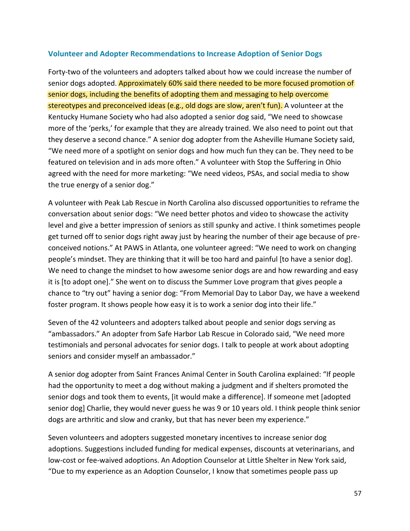#### **Volunteer and Adopter Recommendations to Increase Adoption of Senior Dogs**

Forty-two of the volunteers and adopters talked about how we could increase the number of senior dogs adopted. Approximately 60% said there needed to be more focused promotion of senior dogs, including the benefits of adopting them and messaging to help overcome stereotypes and preconceived ideas (e.g., old dogs are slow, aren't fun). A volunteer at the Kentucky Humane Society who had also adopted a senior dog said, "We need to showcase more of the 'perks,' for example that they are already trained. We also need to point out that they deserve a second chance." A senior dog adopter from the Asheville Humane Society said, "We need more of a spotlight on senior dogs and how much fun they can be. They need to be featured on television and in ads more often." A volunteer with Stop the Suffering in Ohio agreed with the need for more marketing: "We need videos, PSAs, and social media to show the true energy of a senior dog."

A volunteer with Peak Lab Rescue in North Carolina also discussed opportunities to reframe the conversation about senior dogs: "We need better photos and video to showcase the activity level and give a better impression of seniors as still spunky and active. I think sometimes people get turned off to senior dogs right away just by hearing the number of their age because of preconceived notions." At PAWS in Atlanta, one volunteer agreed: "We need to work on changing people's mindset. They are thinking that it will be too hard and painful [to have a senior dog]. We need to change the mindset to how awesome senior dogs are and how rewarding and easy it is [to adopt one]." She went on to discuss the Summer Love program that gives people a chance to "try out" having a senior dog: "From Memorial Day to Labor Day, we have a weekend foster program. It shows people how easy it is to work a senior dog into their life."

Seven of the 42 volunteers and adopters talked about people and senior dogs serving as "ambassadors." An adopter from Safe Harbor Lab Rescue in Colorado said, "We need more testimonials and personal advocates for senior dogs. I talk to people at work about adopting seniors and consider myself an ambassador."

A senior dog adopter from Saint Frances Animal Center in South Carolina explained: "If people had the opportunity to meet a dog without making a judgment and if shelters promoted the senior dogs and took them to events, [it would make a difference]. If someone met [adopted senior dog] Charlie, they would never guess he was 9 or 10 years old. I think people think senior dogs are arthritic and slow and cranky, but that has never been my experience."

Seven volunteers and adopters suggested monetary incentives to increase senior dog adoptions. Suggestions included funding for medical expenses, discounts at veterinarians, and low-cost or fee-waived adoptions. An Adoption Counselor at Little Shelter in New York said, "Due to my experience as an Adoption Counselor, I know that sometimes people pass up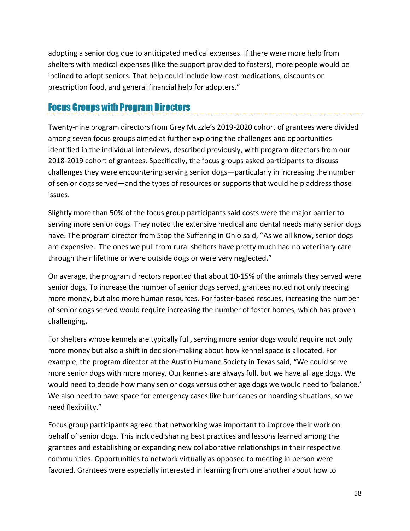adopting a senior dog due to anticipated medical expenses. If there were more help from shelters with medical expenses (like the support provided to fosters), more people would be inclined to adopt seniors. That help could include low-cost medications, discounts on prescription food, and general financial help for adopters."

# Focus Groups with Program Directors

Twenty-nine program directors from Grey Muzzle's 2019-2020 cohort of grantees were divided among seven focus groups aimed at further exploring the challenges and opportunities identified in the individual interviews, described previously, with program directors from our 2018-2019 cohort of grantees. Specifically, the focus groups asked participants to discuss challenges they were encountering serving senior dogs—particularly in increasing the number of senior dogs served—and the types of resources or supports that would help address those issues.

Slightly more than 50% of the focus group participants said costs were the major barrier to serving more senior dogs. They noted the extensive medical and dental needs many senior dogs have. The program director from Stop the Suffering in Ohio said, "As we all know, senior dogs are expensive. The ones we pull from rural shelters have pretty much had no veterinary care through their lifetime or were outside dogs or were very neglected."

On average, the program directors reported that about 10-15% of the animals they served were senior dogs. To increase the number of senior dogs served, grantees noted not only needing more money, but also more human resources. For foster-based rescues, increasing the number of senior dogs served would require increasing the number of foster homes, which has proven challenging.

For shelters whose kennels are typically full, serving more senior dogs would require not only more money but also a shift in decision-making about how kennel space is allocated. For example, the program director at the Austin Humane Society in Texas said, "We could serve more senior dogs with more money. Our kennels are always full, but we have all age dogs. We would need to decide how many senior dogs versus other age dogs we would need to 'balance.' We also need to have space for emergency cases like hurricanes or hoarding situations, so we need flexibility."

Focus group participants agreed that networking was important to improve their work on behalf of senior dogs. This included sharing best practices and lessons learned among the grantees and establishing or expanding new collaborative relationships in their respective communities. Opportunities to network virtually as opposed to meeting in person were favored. Grantees were especially interested in learning from one another about how to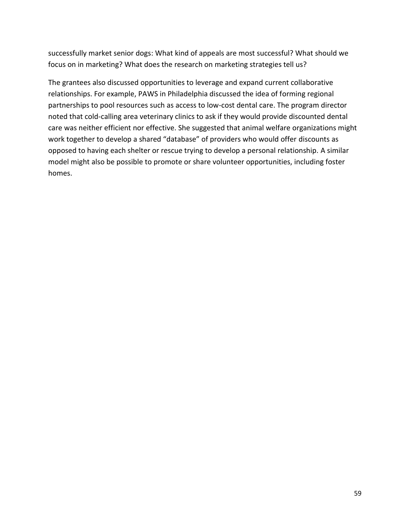successfully market senior dogs: What kind of appeals are most successful? What should we focus on in marketing? What does the research on marketing strategies tell us?

The grantees also discussed opportunities to leverage and expand current collaborative relationships. For example, PAWS in Philadelphia discussed the idea of forming regional partnerships to pool resources such as access to low-cost dental care. The program director noted that cold-calling area veterinary clinics to ask if they would provide discounted dental care was neither efficient nor effective. She suggested that animal welfare organizations might work together to develop a shared "database" of providers who would offer discounts as opposed to having each shelter or rescue trying to develop a personal relationship. A similar model might also be possible to promote or share volunteer opportunities, including foster homes.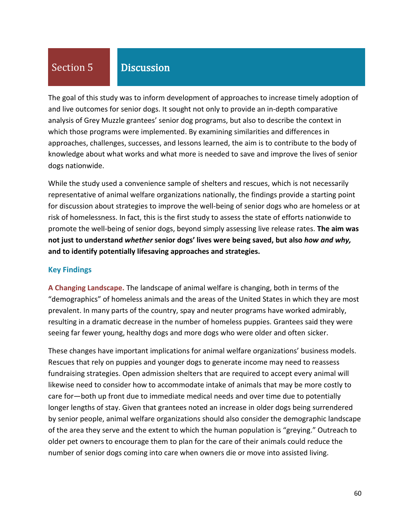# Section 5

## **Discussion**

The goal of this study was to inform development of approaches to increase timely adoption of and live outcomes for senior dogs. It sought not only to provide an in-depth comparative analysis of Grey Muzzle grantees' senior dog programs, but also to describe the context in which those programs were implemented. By examining similarities and differences in approaches, challenges, successes, and lessons learned, the aim is to contribute to the body of knowledge about what works and what more is needed to save and improve the lives of senior dogs nationwide.

While the study used a convenience sample of shelters and rescues, which is not necessarily representative of animal welfare organizations nationally, the findings provide a starting point for discussion about strategies to improve the well-being of senior dogs who are homeless or at risk of homelessness. In fact, this is the first study to assess the state of efforts nationwide to promote the well-being of senior dogs, beyond simply assessing live release rates. **The aim was not just to understand** *whether* **senior dogs' lives were being saved, but also** *how and why,* **and to identify potentially lifesaving approaches and strategies.**

#### **Key Findings**

**A Changing Landscape.** The landscape of animal welfare is changing, both in terms of the "demographics" of homeless animals and the areas of the United States in which they are most prevalent. In many parts of the country, spay and neuter programs have worked admirably, resulting in a dramatic decrease in the number of homeless puppies. Grantees said they were seeing far fewer young, healthy dogs and more dogs who were older and often sicker.

These changes have important implications for animal welfare organizations' business models. Rescues that rely on puppies and younger dogs to generate income may need to reassess fundraising strategies. Open admission shelters that are required to accept every animal will likewise need to consider how to accommodate intake of animals that may be more costly to care for—both up front due to immediate medical needs and over time due to potentially longer lengths of stay. Given that grantees noted an increase in older dogs being surrendered by senior people, animal welfare organizations should also consider the demographic landscape of the area they serve and the extent to which the human population is "greying." Outreach to older pet owners to encourage them to plan for the care of their animals could reduce the number of senior dogs coming into care when owners die or move into assisted living.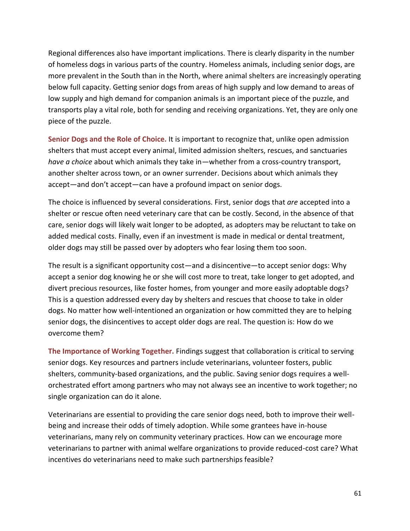Regional differences also have important implications. There is clearly disparity in the number of homeless dogs in various parts of the country. Homeless animals, including senior dogs, are more prevalent in the South than in the North, where animal shelters are increasingly operating below full capacity. Getting senior dogs from areas of high supply and low demand to areas of low supply and high demand for companion animals is an important piece of the puzzle, and transports play a vital role, both for sending and receiving organizations. Yet, they are only one piece of the puzzle.

**Senior Dogs and the Role of Choice.** It is important to recognize that, unlike open admission shelters that must accept every animal, limited admission shelters, rescues, and sanctuaries *have a choice* about which animals they take in—whether from a cross-country transport, another shelter across town, or an owner surrender. Decisions about which animals they accept—and don't accept—can have a profound impact on senior dogs.

The choice is influenced by several considerations. First, senior dogs that *are* accepted into a shelter or rescue often need veterinary care that can be costly. Second, in the absence of that care, senior dogs will likely wait longer to be adopted, as adopters may be reluctant to take on added medical costs. Finally, even if an investment is made in medical or dental treatment, older dogs may still be passed over by adopters who fear losing them too soon.

The result is a significant opportunity cost—and a disincentive—to accept senior dogs: Why accept a senior dog knowing he or she will cost more to treat, take longer to get adopted, and divert precious resources, like foster homes, from younger and more easily adoptable dogs? This is a question addressed every day by shelters and rescues that choose to take in older dogs. No matter how well-intentioned an organization or how committed they are to helping senior dogs, the disincentives to accept older dogs are real. The question is: How do we overcome them?

**The Importance of Working Together.** Findings suggest that collaboration is critical to serving senior dogs. Key resources and partners include veterinarians, volunteer fosters, public shelters, community-based organizations, and the public. Saving senior dogs requires a wellorchestrated effort among partners who may not always see an incentive to work together; no single organization can do it alone.

Veterinarians are essential to providing the care senior dogs need, both to improve their wellbeing and increase their odds of timely adoption. While some grantees have in-house veterinarians, many rely on community veterinary practices. How can we encourage more veterinarians to partner with animal welfare organizations to provide reduced-cost care? What incentives do veterinarians need to make such partnerships feasible?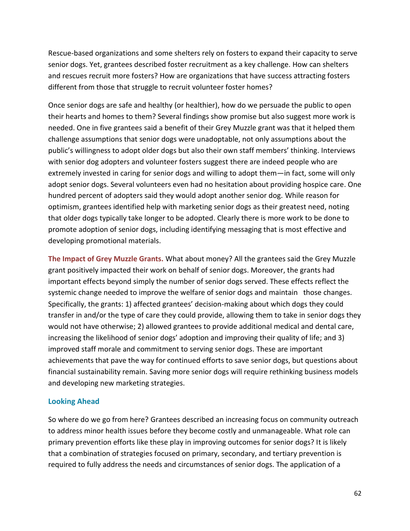Rescue-based organizations and some shelters rely on fosters to expand their capacity to serve senior dogs. Yet, grantees described foster recruitment as a key challenge. How can shelters and rescues recruit more fosters? How are organizations that have success attracting fosters different from those that struggle to recruit volunteer foster homes?

Once senior dogs are safe and healthy (or healthier), how do we persuade the public to open their hearts and homes to them? Several findings show promise but also suggest more work is needed. One in five grantees said a benefit of their Grey Muzzle grant was that it helped them challenge assumptions that senior dogs were unadoptable, not only assumptions about the public's willingness to adopt older dogs but also their own staff members' thinking. Interviews with senior dog adopters and volunteer fosters suggest there are indeed people who are extremely invested in caring for senior dogs and willing to adopt them—in fact, some will only adopt senior dogs. Several volunteers even had no hesitation about providing hospice care. One hundred percent of adopters said they would adopt another senior dog. While reason for optimism, grantees identified help with marketing senior dogs as their greatest need, noting that older dogs typically take longer to be adopted. Clearly there is more work to be done to promote adoption of senior dogs, including identifying messaging that is most effective and developing promotional materials.

**The Impact of Grey Muzzle Grants.** What about money? All the grantees said the Grey Muzzle grant positively impacted their work on behalf of senior dogs. Moreover, the grants had important effects beyond simply the number of senior dogs served. These effects reflect the systemic change needed to improve the welfare of senior dogs and maintain those changes. Specifically, the grants: 1) affected grantees' decision-making about which dogs they could transfer in and/or the type of care they could provide, allowing them to take in senior dogs they would not have otherwise; 2) allowed grantees to provide additional medical and dental care, increasing the likelihood of senior dogs' adoption and improving their quality of life; and 3) improved staff morale and commitment to serving senior dogs. These are important achievements that pave the way for continued efforts to save senior dogs, but questions about financial sustainability remain. Saving more senior dogs will require rethinking business models and developing new marketing strategies.

#### **Looking Ahead**

So where do we go from here? Grantees described an increasing focus on community outreach to address minor health issues before they become costly and unmanageable. What role can primary prevention efforts like these play in improving outcomes for senior dogs? It is likely that a combination of strategies focused on primary, secondary, and tertiary prevention is required to fully address the needs and circumstances of senior dogs. The application of a